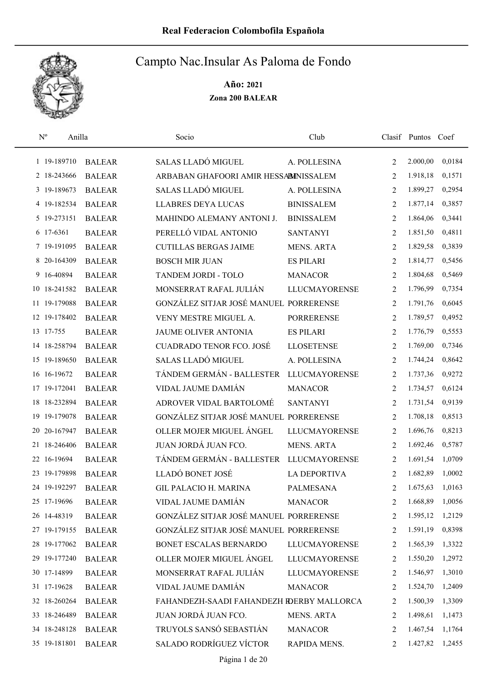

| $\mathbf{N}^{\text{o}}$<br>Anilla |               | Socio                                     | Club                 |                | Clasif Puntos Coef |        |
|-----------------------------------|---------------|-------------------------------------------|----------------------|----------------|--------------------|--------|
| 1 19-189710                       | <b>BALEAR</b> | SALAS LLADÓ MIGUEL                        | A. POLLESINA         | 2              | 2.000,00           | 0,0184 |
| 2 18-243666                       | <b>BALEAR</b> | ARBABAN GHAFOORI AMIR HESSABINISSALEM     |                      | $\overline{2}$ | 1.918,18           | 0,1571 |
| 3 19-189673                       | <b>BALEAR</b> | <b>SALAS LLADÓ MIGUEL</b>                 | A. POLLESINA         | 2              | 1.899,27           | 0,2954 |
| 4 19-182534                       | <b>BALEAR</b> | <b>LLABRES DEYA LUCAS</b>                 | <b>BINISSALEM</b>    | 2              | 1.877,14           | 0,3857 |
| 5 19-273151                       | <b>BALEAR</b> | MAHINDO ALEMANY ANTONI J.                 | <b>BINISSALEM</b>    | 2              | 1.864,06           | 0,3441 |
| 6 17-6361                         | <b>BALEAR</b> | PERELLÓ VIDAL ANTONIO                     | <b>SANTANYI</b>      | 2              | 1.851,50           | 0,4811 |
| 7 19-191095                       | <b>BALEAR</b> | <b>CUTILLAS BERGAS JAIME</b>              | <b>MENS. ARTA</b>    | 2              | 1.829,58           | 0,3839 |
| 8 20-164309                       | <b>BALEAR</b> | <b>BOSCH MIR JUAN</b>                     | <b>ES PILARI</b>     | 2              | 1.814,77           | 0,5456 |
| 9 16-40894                        | <b>BALEAR</b> | TANDEM JORDI - TOLO                       | <b>MANACOR</b>       | 2              | 1.804,68           | 0,5469 |
| 10 18-241582                      | <b>BALEAR</b> | MONSERRAT RAFAL JULIÁN                    | <b>LLUCMAYORENSE</b> | 2              | 1.796,99           | 0,7354 |
| 11 19-179088                      | <b>BALEAR</b> | GONZÁLEZ SITJAR JOSÉ MANUEL PORRERENSE    |                      | 2              | 1.791,76           | 0,6045 |
| 12 19-178402                      | <b>BALEAR</b> | VENY MESTRE MIGUEL A.                     | <b>PORRERENSE</b>    | 2              | 1.789,57           | 0,4952 |
| 13 17-755                         | <b>BALEAR</b> | <b>JAUME OLIVER ANTONIA</b>               | <b>ES PILARI</b>     | 2              | 1.776,79           | 0,5553 |
| 14 18-258794                      | <b>BALEAR</b> | <b>CUADRADO TENOR FCO. JOSÉ</b>           | <b>LLOSETENSE</b>    | $\overline{2}$ | 1.769,00           | 0,7346 |
| 15 19-189650                      | <b>BALEAR</b> | SALAS LLADÓ MIGUEL                        | A. POLLESINA         | $\overline{2}$ | 1.744,24           | 0,8642 |
| 16 16-19672                       | <b>BALEAR</b> | TÁNDEM GERMÁN - BALLESTER                 | <b>LLUCMAYORENSE</b> | 2              | 1.737,36           | 0,9272 |
| 17 19-172041                      | <b>BALEAR</b> | VIDAL JAUME DAMIÁN                        | <b>MANACOR</b>       | 2              | 1.734,57           | 0,6124 |
| 18 18-232894                      | <b>BALEAR</b> | ADROVER VIDAL BARTOLOMÉ                   | <b>SANTANYI</b>      | 2              | 1.731,54           | 0,9139 |
| 19-179078<br>19                   | <b>BALEAR</b> | GONZÁLEZ SITJAR JOSÉ MANUEL PORRERENSE    |                      | 2              | 1.708,18           | 0,8513 |
| 20-167947<br>20                   | <b>BALEAR</b> | OLLER MOJER MIGUEL ÁNGEL                  | <b>LLUCMAYORENSE</b> | 2              | 1.696,76           | 0,8213 |
| 21 18-246406                      | <b>BALEAR</b> | JUAN JORDÁ JUAN FCO.                      | <b>MENS. ARTA</b>    | 2              | 1.692,46           | 0,5787 |
| 22 16-19694                       | <b>BALEAR</b> | TÁNDEM GERMÁN - BALLESTER                 | <b>LLUCMAYORENSE</b> | 2              | 1.691,54           | 1,0709 |
| 23 19-179898                      | <b>BALEAR</b> | LLADÓ BONET JOSÉ                          | <b>LA DEPORTIVA</b>  | 2              | 1.682,89           | 1,0002 |
| 24 19-192297                      | <b>BALEAR</b> | <b>GIL PALACIO H. MARINA</b>              | <b>PALMESANA</b>     | $\overline{2}$ | 1.675,63           | 1,0163 |
| 25 17-19696                       | <b>BALEAR</b> | VIDAL JAUME DAMIÁN                        | <b>MANACOR</b>       | 2              | 1.668,89           | 1,0056 |
| 26 14-48319                       | <b>BALEAR</b> | GONZÁLEZ SITJAR JOSÉ MANUEL PORRERENSE    |                      | 2              | 1.595,12           | 1,2129 |
| 27 19-179155                      | <b>BALEAR</b> | GONZÁLEZ SITJAR JOSÉ MANUEL PORRERENSE    |                      | 2              | 1.591,19           | 0,8398 |
| 28 19-177062                      | <b>BALEAR</b> | BONET ESCALAS BERNARDO                    | <b>LLUCMAYORENSE</b> | 2              | 1.565,39           | 1,3322 |
| 29 19-177240                      | <b>BALEAR</b> | OLLER MOJER MIGUEL ÁNGEL                  | <b>LLUCMAYORENSE</b> | 2              | 1.550,20           | 1,2972 |
| 30 17-14899                       | <b>BALEAR</b> | MONSERRAT RAFAL JULIÁN                    | <b>LLUCMAYORENSE</b> | 2              | 1.546,97           | 1,3010 |
| 31 17-19628                       | <b>BALEAR</b> | VIDAL JAUME DAMIÁN                        | <b>MANACOR</b>       | 2              | 1.524,70           | 1,2409 |
| 32 18-260264                      | <b>BALEAR</b> | FAHANDEZH-SAADI FAHANDEZH RDERBY MALLORCA |                      | 2              | 1.500,39           | 1,3309 |
| 33 18-246489                      | <b>BALEAR</b> | JUAN JORDÁ JUAN FCO.                      | <b>MENS. ARTA</b>    | 2              | 1.498,61           | 1,1473 |
| 34 18-248128                      | <b>BALEAR</b> | TRUYOLS SANSÓ SEBASTIÁN                   | <b>MANACOR</b>       | 2              | 1.467,54           | 1,1764 |
| 35 19-181801                      | <b>BALEAR</b> | SALADO RODRÍGUEZ VÍCTOR                   | RAPIDA MENS.         | 2              | 1.427,82           | 1,2455 |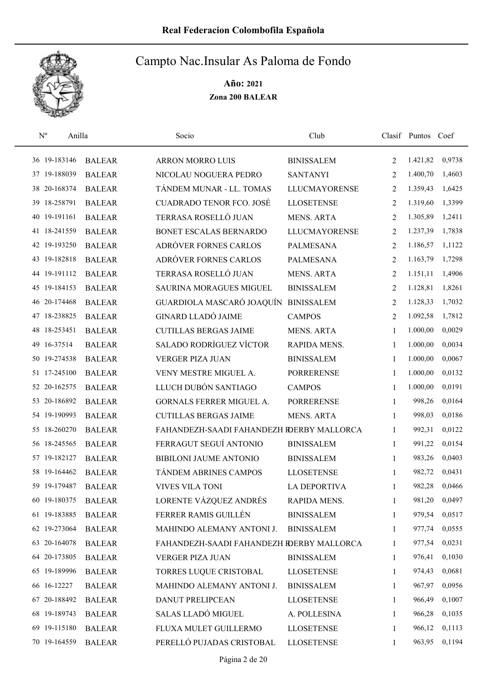

| $\mathbf{N}^{\text{o}}$<br>Anilla |               | Socio                                     | Club                 |              | Clasif Puntos Coef |        |
|-----------------------------------|---------------|-------------------------------------------|----------------------|--------------|--------------------|--------|
| 36 19-183146                      | <b>BALEAR</b> | <b>ARRON MORRO LUIS</b>                   | <b>BINISSALEM</b>    | 2            | 1.421,82           | 0,9738 |
| 37 19-188039                      | <b>BALEAR</b> | NICOLAU NOGUERA PEDRO                     | <b>SANTANYI</b>      | 2            | 1.400,70           | 1,4603 |
| 38 20-168374                      | <b>BALEAR</b> | TÁNDEM MUNAR - LL. TOMAS                  | <b>LLUCMAYORENSE</b> | 2            | 1.359,43           | 1,6425 |
| 18-258791<br>39                   | <b>BALEAR</b> | <b>CUADRADO TENOR FCO. JOSÉ</b>           | <b>LLOSETENSE</b>    | 2            | 1.319,60           | 1,3399 |
| 40 19-191161                      | <b>BALEAR</b> | TERRASA ROSELLÓ JUAN                      | <b>MENS. ARTA</b>    | 2            | 1.305,89           | 1,2411 |
| 41 18-241559                      | <b>BALEAR</b> | BONET ESCALAS BERNARDO                    | <b>LLUCMAYORENSE</b> | 2            | 1.237,39           | 1,7838 |
| 42 19-193250                      | <b>BALEAR</b> | ADRÓVER FORNES CARLOS                     | <b>PALMESANA</b>     | 2            | 1.186,57           | 1,1122 |
| 43 19-182818                      | <b>BALEAR</b> | ADRÓVER FORNES CARLOS                     | <b>PALMESANA</b>     | 2            | 1.163,79           | 1,7298 |
| 44 19-191112                      | <b>BALEAR</b> | TERRASA ROSELLÓ JUAN                      | <b>MENS. ARTA</b>    | 2            | 1.151,11           | 1,4906 |
| 45 19-184153                      | <b>BALEAR</b> | SAURINA MORAGUES MIGUEL                   | <b>BINISSALEM</b>    | 2            | 1.128,81           | 1,8261 |
| 46 20-174468                      | <b>BALEAR</b> | GUARDIOLA MASCARÓ JOAQUÍN                 | <b>BINISSALEM</b>    | 2            | 1.128,33           | 1,7032 |
| 47 18-238825                      | <b>BALEAR</b> | <b>GINARD LLADÓ JAIME</b>                 | <b>CAMPOS</b>        | 2            | 1.092,58           | 1,7812 |
| 48 18-253451                      | <b>BALEAR</b> | <b>CUTILLAS BERGAS JAIME</b>              | <b>MENS. ARTA</b>    | 1            | 1.000,00           | 0,0029 |
| 49 16-37514                       | <b>BALEAR</b> | <b>SALADO RODRÍGUEZ VÍCTOR</b>            | RAPIDA MENS.         | $\mathbf{1}$ | 1.000,00           | 0,0034 |
| 50 19-274538                      | <b>BALEAR</b> | <b>VERGER PIZA JUAN</b>                   | <b>BINISSALEM</b>    | 1            | 1.000,00           | 0,0067 |
| 51 17-245100                      | <b>BALEAR</b> | VENY MESTRE MIGUEL A.                     | <b>PORRERENSE</b>    | $\mathbf{1}$ | 1.000,00           | 0,0132 |
| 52 20-162575                      | <b>BALEAR</b> | LLUCH DUBÓN SANTIAGO                      | <b>CAMPOS</b>        | 1            | 1.000,00           | 0,0191 |
| 53 20-186892                      | <b>BALEAR</b> | GORNALS FERRER MIGUEL A.                  | <b>PORRERENSE</b>    | $\mathbf{1}$ | 998,26             | 0,0164 |
| 54 19-190993                      | <b>BALEAR</b> | <b>CUTILLAS BERGAS JAIME</b>              | <b>MENS. ARTA</b>    | 1            | 998,03             | 0,0186 |
| 55 18-260270                      | <b>BALEAR</b> | FAHANDEZH-SAADI FAHANDEZH RDERBY MALLORCA |                      | 1            | 992,31             | 0,0122 |
| 56 18-245565                      | <b>BALEAR</b> | FERRAGUT SEGUÍ ANTONIO                    | <b>BINISSALEM</b>    | 1            | 991,22             | 0,0154 |
| 57 19-182127                      | <b>BALEAR</b> | BIBILONI JAUME ANTONIO                    | <b>BINISSALEM</b>    | 1            | 983,26             | 0,0403 |
| 58 19-164462                      | <b>BALEAR</b> | TÁNDEM ABRINES CAMPOS                     | <b>LLOSETENSE</b>    | 1            | 982,72             | 0,0431 |
| 59 19-179487                      | <b>BALEAR</b> | <b>VIVES VILA TONI</b>                    | <b>LA DEPORTIVA</b>  | 1            | 982,28             | 0,0466 |
| 60 19-180375                      | <b>BALEAR</b> | LORENTE VÁZQUEZ ANDRÉS                    | RAPIDA MENS.         | 1            | 981,20             | 0,0497 |
| 61 19-183885                      | <b>BALEAR</b> | FERRER RAMIS GUILLÉN                      | <b>BINISSALEM</b>    | 1            | 979,54             | 0,0517 |
| 62 19-273064                      | <b>BALEAR</b> | MAHINDO ALEMANY ANTONI J.                 | <b>BINISSALEM</b>    | 1            | 977,74             | 0,0555 |
| 63 20-164078                      | <b>BALEAR</b> | FAHANDEZH-SAADI FAHANDEZH IDERBY MALLORCA |                      | 1            | 977,54             | 0,0231 |
| 64 20-173805                      | <b>BALEAR</b> | VERGER PIZA JUAN                          | <b>BINISSALEM</b>    | 1            | 976,41             | 0,1030 |
| 65 19-189996                      | <b>BALEAR</b> | TORRES LUQUE CRISTOBAL                    | <b>LLOSETENSE</b>    | 1            | 974,43             | 0,0681 |
| 66 16-12227                       | <b>BALEAR</b> | MAHINDO ALEMANY ANTONI J.                 | <b>BINISSALEM</b>    | 1            | 967,97             | 0,0956 |
| 67 20-188492                      | <b>BALEAR</b> | DANUT PRELIPCEAN                          | <b>LLOSETENSE</b>    | 1            | 966,49             | 0,1007 |
| 68 19-189743                      | <b>BALEAR</b> | SALAS LLADÓ MIGUEL                        | A. POLLESINA         | 1            | 966,28             | 0,1035 |
| 69 19-115180                      | <b>BALEAR</b> | FLUXA MULET GUILLERMO                     | <b>LLOSETENSE</b>    | 1            | 966,12             | 0,1113 |
| 70 19-164559                      | <b>BALEAR</b> | PERELLÓ PUJADAS CRISTOBAL                 | <b>LLOSETENSE</b>    | 1            | 963,95             | 0,1194 |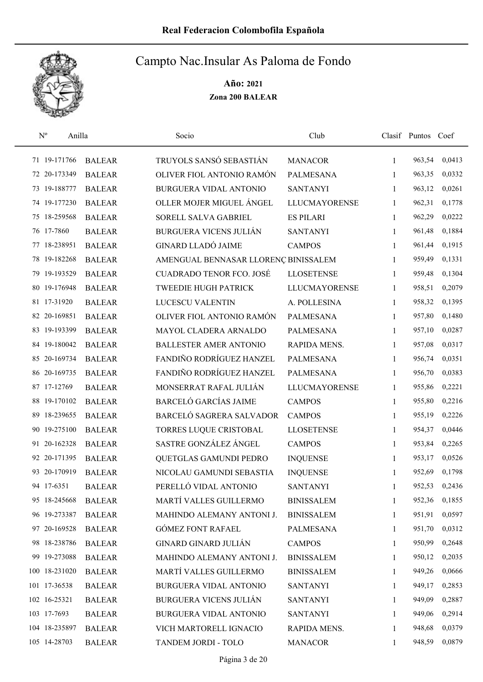

| $\mathbf{N}^{\text{o}}$<br>Anilla |               | Socio                                | Club                 |              | Clasif Puntos Coef |        |
|-----------------------------------|---------------|--------------------------------------|----------------------|--------------|--------------------|--------|
| 71 19-171766                      | <b>BALEAR</b> | TRUYOLS SANSÓ SEBASTIÁN              | <b>MANACOR</b>       | 1            | 963,54             | 0,0413 |
| 72 20-173349                      | <b>BALEAR</b> | OLIVER FIOL ANTONIO RAMÓN            | PALMESANA            | 1            | 963,35             | 0,0332 |
| 73 19-188777                      | <b>BALEAR</b> | BURGUERA VIDAL ANTONIO               | <b>SANTANYI</b>      | 1            | 963,12             | 0,0261 |
| 74 19-177230                      | <b>BALEAR</b> | OLLER MOJER MIGUEL ÁNGEL             | <b>LLUCMAYORENSE</b> | 1            | 962,31             | 0,1778 |
| 75 18-259568                      | <b>BALEAR</b> | SORELL SALVA GABRIEL                 | <b>ES PILARI</b>     | $\mathbf{1}$ | 962,29             | 0,0222 |
| 76 17-7860                        | <b>BALEAR</b> | <b>BURGUERA VICENS JULIÁN</b>        | <b>SANTANYI</b>      | 1            | 961,48             | 0,1884 |
| 77 18-238951                      | <b>BALEAR</b> | <b>GINARD LLADÓ JAIME</b>            | <b>CAMPOS</b>        | $\mathbf{1}$ | 961,44             | 0,1915 |
| 78 19-182268                      | <b>BALEAR</b> | AMENGUAL BENNASAR LLORENÇ BINISSALEM |                      | $\mathbf{1}$ | 959,49             | 0,1331 |
| 79 19-193529                      | <b>BALEAR</b> | <b>CUADRADO TENOR FCO. JOSÉ</b>      | <b>LLOSETENSE</b>    | 1            | 959,48             | 0,1304 |
| 80 19-176948                      | <b>BALEAR</b> | <b>TWEEDIE HUGH PATRICK</b>          | <b>LLUCMAYORENSE</b> | 1            | 958,51             | 0,2079 |
| 81 17-31920                       | <b>BALEAR</b> | LUCESCU VALENTIN                     | A. POLLESINA         | 1            | 958,32             | 0,1395 |
| 82 20-169851                      | <b>BALEAR</b> | OLIVER FIOL ANTONIO RAMÓN            | <b>PALMESANA</b>     | 1            | 957,80             | 0,1480 |
| 83 19-193399                      | <b>BALEAR</b> | MAYOL CLADERA ARNALDO                | <b>PALMESANA</b>     | 1            | 957,10             | 0,0287 |
| 84 19-180042                      | <b>BALEAR</b> | BALLESTER AMER ANTONIO               | RAPIDA MENS.         | $\mathbf{1}$ | 957,08             | 0,0317 |
| 85 20-169734                      | <b>BALEAR</b> | FANDIÑO RODRÍGUEZ HANZEL             | <b>PALMESANA</b>     | 1            | 956,74             | 0,0351 |
| 86 20-169735                      | <b>BALEAR</b> | FANDIÑO RODRÍGUEZ HANZEL             | <b>PALMESANA</b>     | 1            | 956,70             | 0,0383 |
| 87 17-12769                       | <b>BALEAR</b> | MONSERRAT RAFAL JULIÁN               | <b>LLUCMAYORENSE</b> | 1            | 955,86             | 0,2221 |
| 88 19-170102                      | <b>BALEAR</b> | <b>BARCELÓ GARCÍAS JAIME</b>         | <b>CAMPOS</b>        | $\mathbf{1}$ | 955,80             | 0,2216 |
| 18-239655<br>89                   | <b>BALEAR</b> | BARCELÓ SAGRERA SALVADOR             | <b>CAMPOS</b>        | $\mathbf{1}$ | 955,19             | 0,2226 |
| 90 19-275100                      | <b>BALEAR</b> | TORRES LUQUE CRISTOBAL               | <b>LLOSETENSE</b>    | $\mathbf{1}$ | 954,37             | 0,0446 |
| 91 20-162328                      | <b>BALEAR</b> | SASTRE GONZÁLEZ ÁNGEL                | <b>CAMPOS</b>        | $\mathbf{1}$ | 953,84             | 0,2265 |
| 92 20-171395                      | <b>BALEAR</b> | QUETGLAS GAMUNDI PEDRO               | <b>INQUENSE</b>      | 1            | 953,17             | 0,0526 |
| 93 20-170919                      | <b>BALEAR</b> | NICOLAU GAMUNDI SEBASTIA             | <b>INQUENSE</b>      | 1            | 952,69             | 0,1798 |
| 94 17-6351                        | <b>BALEAR</b> | PERELLÓ VIDAL ANTONIO                | <b>SANTANYI</b>      | 1            | 952,53             | 0,2436 |
| 95 18-245668                      | <b>BALEAR</b> | MARTÍ VALLES GUILLERMO               | <b>BINISSALEM</b>    | 1            | 952,36             | 0,1855 |
| 96 19-273387                      | <b>BALEAR</b> | MAHINDO ALEMANY ANTONI J.            | <b>BINISSALEM</b>    | 1            | 951,91             | 0,0597 |
| 97 20-169528                      | <b>BALEAR</b> | <b>GÓMEZ FONT RAFAEL</b>             | PALMESANA            | 1            | 951,70             | 0,0312 |
| 98 18-238786                      | <b>BALEAR</b> | <b>GINARD GINARD JULIÁN</b>          | <b>CAMPOS</b>        | 1            | 950,99             | 0,2648 |
| 99 19-273088                      | <b>BALEAR</b> | MAHINDO ALEMANY ANTONI J.            | <b>BINISSALEM</b>    | 1            | 950,12             | 0,2035 |
| 100 18-231020                     | <b>BALEAR</b> | MARTÍ VALLES GUILLERMO               | <b>BINISSALEM</b>    | 1            | 949,26             | 0,0666 |
| 101 17-36538                      | <b>BALEAR</b> | BURGUERA VIDAL ANTONIO               | <b>SANTANYI</b>      | 1            | 949,17             | 0,2853 |
| 102 16-25321                      | <b>BALEAR</b> | <b>BURGUERA VICENS JULIÁN</b>        | <b>SANTANYI</b>      | 1            | 949,09             | 0,2887 |
| 103 17-7693                       | <b>BALEAR</b> | BURGUERA VIDAL ANTONIO               | <b>SANTANYI</b>      | 1            | 949,06             | 0,2914 |
| 104 18-235897                     | <b>BALEAR</b> | VICH MARTORELL IGNACIO               | RAPIDA MENS.         | 1            | 948,68             | 0,0379 |
| 105 14-28703                      | <b>BALEAR</b> | TANDEM JORDI - TOLO                  | <b>MANACOR</b>       | 1            | 948,59             | 0,0879 |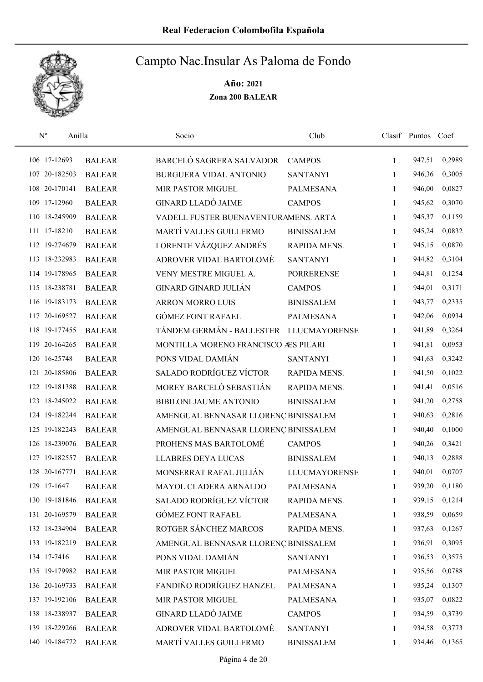

| $\mathbf{N}^{\text{o}}$ | Anilla        | Socio                                   | Club                 |              | Clasif Puntos Coef |        |
|-------------------------|---------------|-----------------------------------------|----------------------|--------------|--------------------|--------|
| 106 17-12693            | <b>BALEAR</b> | BARCELÓ SAGRERA SALVADOR                | <b>CAMPOS</b>        | $\mathbf{1}$ | 947,51             | 0,2989 |
| 107 20-182503           | <b>BALEAR</b> | BURGUERA VIDAL ANTONIO                  | <b>SANTANYI</b>      | $\mathbf{1}$ | 946,36             | 0,3005 |
| 108 20-170141           | <b>BALEAR</b> | MIR PASTOR MIGUEL                       | <b>PALMESANA</b>     | $\mathbf{1}$ | 946,00             | 0,0827 |
| 109 17-12960            | <b>BALEAR</b> | <b>GINARD LLADÓ JAIME</b>               | <b>CAMPOS</b>        | $\mathbf{1}$ | 945,62             | 0,3070 |
| 110 18-245909           | <b>BALEAR</b> | VADELL FUSTER BUENAVENTURAMENS. ARTA    |                      | $\mathbf{1}$ | 945,37             | 0,1159 |
| 111 17-18210            | <b>BALEAR</b> | MARTÍ VALLES GUILLERMO                  | <b>BINISSALEM</b>    | $\mathbf{1}$ | 945,24             | 0,0832 |
| 112 19-274679           | <b>BALEAR</b> | LORENTE VÁZQUEZ ANDRÉS                  | RAPIDA MENS.         | $\mathbf{1}$ | 945,15             | 0,0870 |
| 113 18-232983           | <b>BALEAR</b> | ADROVER VIDAL BARTOLOMÉ                 | <b>SANTANYI</b>      | 1            | 944,82             | 0,3104 |
| 114 19-178965           | <b>BALEAR</b> | VENY MESTRE MIGUEL A.                   | <b>PORRERENSE</b>    | 1            | 944,81             | 0,1254 |
| 115 18-238781           | <b>BALEAR</b> | <b>GINARD GINARD JULIÁN</b>             | <b>CAMPOS</b>        | 1            | 944,01             | 0,3171 |
| 116 19-183173           | <b>BALEAR</b> | <b>ARRON MORRO LUIS</b>                 | <b>BINISSALEM</b>    | 1            | 943,77             | 0,2335 |
| 117 20-169527           | <b>BALEAR</b> | <b>GÓMEZ FONT RAFAEL</b>                | <b>PALMESANA</b>     | $\mathbf{1}$ | 942,06             | 0,0934 |
| 118 19-177455           | <b>BALEAR</b> | TÁNDEM GERMÁN - BALLESTER LLUCMAYORENSE |                      | $\mathbf{1}$ | 941,89             | 0,3264 |
| 119 20-164265           | <b>BALEAR</b> | MONTILLA MORENO FRANCISCO ÆS PILARI     |                      | $\mathbf{1}$ | 941,81             | 0,0953 |
| 120 16-25748            | <b>BALEAR</b> | PONS VIDAL DAMIÁN                       | <b>SANTANYI</b>      | $\mathbf{1}$ | 941,63             | 0,3242 |
| 121 20-185806           | <b>BALEAR</b> | <b>SALADO RODRÍGUEZ VÍCTOR</b>          | RAPIDA MENS.         | $\mathbf{1}$ | 941,50             | 0,1022 |
| 122 19-181388           | <b>BALEAR</b> | MOREY BARCELÓ SEBASTIÁN                 | RAPIDA MENS.         | $\mathbf{1}$ | 941,41             | 0,0516 |
| 123 18-245022           | <b>BALEAR</b> | BIBILONI JAUME ANTONIO                  | <b>BINISSALEM</b>    | $\mathbf{1}$ | 941,20             | 0,2758 |
| 124 19-182244           | <b>BALEAR</b> | AMENGUAL BENNASAR LLORENÇ BINISSALEM    |                      | 1            | 940,63             | 0,2816 |
| 125 19-182243           | <b>BALEAR</b> | AMENGUAL BENNASAR LLORENÇ BINISSALEM    |                      | $\mathbf{1}$ | 940,40             | 0,1000 |
| 126 18-239076           | <b>BALEAR</b> | PROHENS MAS BARTOLOMÉ                   | <b>CAMPOS</b>        | $\mathbf{1}$ | 940,26             | 0,3421 |
| 127 19-182557           | <b>BALEAR</b> | <b>LLABRES DEYA LUCAS</b>               | <b>BINISSALEM</b>    | 1            | 940,13             | 0,2888 |
| 128 20-167771           | <b>BALEAR</b> | MONSERRAT RAFAL JULIÁN                  | <b>LLUCMAYORENSE</b> | 1            | 940,01             | 0,0707 |
| 129 17-1647             | <b>BALEAR</b> | MAYOL CLADERA ARNALDO                   | <b>PALMESANA</b>     | 1            | 939,20             | 0,1180 |
| 130 19-181846           | <b>BALEAR</b> | SALADO RODRÍGUEZ VÍCTOR                 | RAPIDA MENS.         | 1            | 939,15             | 0,1214 |
| 131 20-169579           | <b>BALEAR</b> | <b>GÓMEZ FONT RAFAEL</b>                | PALMESANA            | 1            | 938,59             | 0,0659 |
| 132 18-234904           | <b>BALEAR</b> | ROTGER SÁNCHEZ MARCOS                   | RAPIDA MENS.         | 1            | 937,63             | 0,1267 |
| 133 19-182219           | <b>BALEAR</b> | AMENGUAL BENNASAR LLORENÇ BINISSALEM    |                      | 1            | 936,91             | 0,3095 |
| 134 17-7416             | <b>BALEAR</b> | PONS VIDAL DAMIÁN                       | <b>SANTANYI</b>      | 1            | 936,53             | 0,3575 |
| 135 19-179982           | <b>BALEAR</b> | MIR PASTOR MIGUEL                       | PALMESANA            | 1            | 935,56             | 0,0788 |
| 136 20-169733           | <b>BALEAR</b> | FANDIÑO RODRÍGUEZ HANZEL                | PALMESANA            | 1            | 935,24             | 0,1307 |
| 137 19-192106           | <b>BALEAR</b> | MIR PASTOR MIGUEL                       | PALMESANA            | 1            | 935,07             | 0,0822 |
| 138 18-238937           | <b>BALEAR</b> | <b>GINARD LLADÓ JAIME</b>               | <b>CAMPOS</b>        | 1            | 934,59             | 0,3739 |
| 139 18-229266           | <b>BALEAR</b> | ADROVER VIDAL BARTOLOMÉ                 | <b>SANTANYI</b>      | 1            | 934,58             | 0,3773 |
| 140 19-184772           | <b>BALEAR</b> | MARTÍ VALLES GUILLERMO                  | <b>BINISSALEM</b>    | 1            | 934,46             | 0,1365 |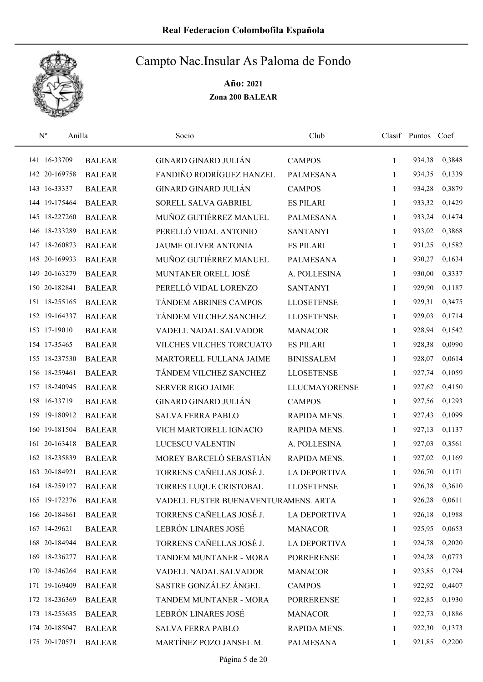

| $\rm N^o$     | Anilla        | Socio                                | Club                 |              | Clasif Puntos Coef |        |
|---------------|---------------|--------------------------------------|----------------------|--------------|--------------------|--------|
| 141 16-33709  | <b>BALEAR</b> | <b>GINARD GINARD JULIÁN</b>          | <b>CAMPOS</b>        | 1            | 934,38             | 0,3848 |
| 142 20-169758 | <b>BALEAR</b> | FANDIÑO RODRÍGUEZ HANZEL             | <b>PALMESANA</b>     | 1            | 934,35             | 0,1339 |
| 143 16-33337  | <b>BALEAR</b> | <b>GINARD GINARD JULIÁN</b>          | <b>CAMPOS</b>        | 1            | 934,28             | 0,3879 |
| 144 19-175464 | <b>BALEAR</b> | SORELL SALVA GABRIEL                 | <b>ES PILARI</b>     | 1            | 933,32             | 0,1429 |
| 145 18-227260 | <b>BALEAR</b> | MUÑOZ GUTIÉRREZ MANUEL               | <b>PALMESANA</b>     | $\mathbf{1}$ | 933,24             | 0,1474 |
| 146 18-233289 | <b>BALEAR</b> | PERELLÓ VIDAL ANTONIO                | <b>SANTANYI</b>      | $\mathbf{1}$ | 933,02             | 0,3868 |
| 147 18-260873 | <b>BALEAR</b> | JAUME OLIVER ANTONIA                 | <b>ES PILARI</b>     | 1            | 931,25             | 0,1582 |
| 148 20-169933 | <b>BALEAR</b> | MUÑOZ GUTIÉRREZ MANUEL               | <b>PALMESANA</b>     | $\mathbf{1}$ | 930,27             | 0,1634 |
| 149 20-163279 | <b>BALEAR</b> | MUNTANER ORELL JOSÉ                  | A. POLLESINA         | 1            | 930,00             | 0,3337 |
| 150 20-182841 | <b>BALEAR</b> | PERELLÓ VIDAL LORENZO                | <b>SANTANYI</b>      | 1            | 929,90             | 0,1187 |
| 151 18-255165 | <b>BALEAR</b> | TÁNDEM ABRINES CAMPOS                | <b>LLOSETENSE</b>    | 1            | 929,31             | 0,3475 |
| 152 19-164337 | <b>BALEAR</b> | TÁNDEM VILCHEZ SANCHEZ               | <b>LLOSETENSE</b>    | 1            | 929,03             | 0,1714 |
| 153 17-19010  | <b>BALEAR</b> | VADELL NADAL SALVADOR                | <b>MANACOR</b>       | 1            | 928,94             | 0,1542 |
| 154 17-35465  | <b>BALEAR</b> | VILCHES VILCHES TORCUATO             | <b>ES PILARI</b>     | 1            | 928,38             | 0,0990 |
| 155 18-237530 | <b>BALEAR</b> | MARTORELL FULLANA JAIME              | <b>BINISSALEM</b>    | 1            | 928,07             | 0,0614 |
| 156 18-259461 | <b>BALEAR</b> | TÁNDEM VILCHEZ SANCHEZ               | <b>LLOSETENSE</b>    | 1            | 927,74             | 0,1059 |
| 157 18-240945 | <b>BALEAR</b> | <b>SERVER RIGO JAIME</b>             | <b>LLUCMAYORENSE</b> | $\mathbf{1}$ | 927,62             | 0,4150 |
| 158 16-33719  | <b>BALEAR</b> | <b>GINARD GINARD JULIÁN</b>          | <b>CAMPOS</b>        | $\mathbf{1}$ | 927,56             | 0,1293 |
| 159 19-180912 | <b>BALEAR</b> | <b>SALVA FERRA PABLO</b>             | RAPIDA MENS.         | 1            | 927,43             | 0,1099 |
| 160 19-181504 | <b>BALEAR</b> | VICH MARTORELL IGNACIO               | RAPIDA MENS.         | $\mathbf{1}$ | 927,13             | 0,1137 |
| 161 20-163418 | <b>BALEAR</b> | LUCESCU VALENTIN                     | A. POLLESINA         | 1            | 927,03             | 0,3561 |
| 162 18-235839 | <b>BALEAR</b> | MOREY BARCELÓ SEBASTIÁN              | RAPIDA MENS.         | 1            | 927,02             | 0,1169 |
| 163 20-184921 | <b>BALEAR</b> | TORRENS CAÑELLAS JOSÉ J.             | <b>LA DEPORTIVA</b>  | 1            | 926,70             | 0,1171 |
| 164 18-259127 | <b>BALEAR</b> | TORRES LUQUE CRISTOBAL               | <b>LLOSETENSE</b>    | 1            | 926,38             | 0,3610 |
| 165 19-172376 | <b>BALEAR</b> | VADELL FUSTER BUENAVENTURAMENS. ARTA |                      | 1            | 926,28             | 0,0611 |
| 166 20-184861 | <b>BALEAR</b> | TORRENS CAÑELLAS JOSÉ J.             | <b>LA DEPORTIVA</b>  | 1            | 926,18             | 0,1988 |
| 167 14-29621  | <b>BALEAR</b> | LEBRÓN LINARES JOSÉ                  | <b>MANACOR</b>       | 1            | 925,95             | 0,0653 |
| 168 20-184944 | <b>BALEAR</b> | TORRENS CAÑELLAS JOSÉ J.             | LA DEPORTIVA         | 1            | 924,78             | 0,2020 |
| 169 18-236277 | <b>BALEAR</b> | TANDEM MUNTANER - MORA               | <b>PORRERENSE</b>    | 1            | 924,28             | 0,0773 |
| 170 18-246264 | <b>BALEAR</b> | VADELL NADAL SALVADOR                | <b>MANACOR</b>       | $\mathbf{1}$ | 923,85             | 0,1794 |
| 171 19-169409 | <b>BALEAR</b> | SASTRE GONZÁLEZ ÁNGEL                | <b>CAMPOS</b>        | 1            | 922,92             | 0,4407 |
| 172 18-236369 | <b>BALEAR</b> | TANDEM MUNTANER - MORA               | <b>PORRERENSE</b>    | 1            | 922,85             | 0,1930 |
| 173 18-253635 | <b>BALEAR</b> | LEBRÓN LINARES JOSÉ                  | <b>MANACOR</b>       | 1            | 922,73             | 0,1886 |
| 174 20-185047 | <b>BALEAR</b> | <b>SALVA FERRA PABLO</b>             | RAPIDA MENS.         | 1            | 922,30             | 0,1373 |
| 175 20-170571 | <b>BALEAR</b> | MARTÍNEZ POZO JANSEL M.              | <b>PALMESANA</b>     | 1            | 921,85             | 0,2200 |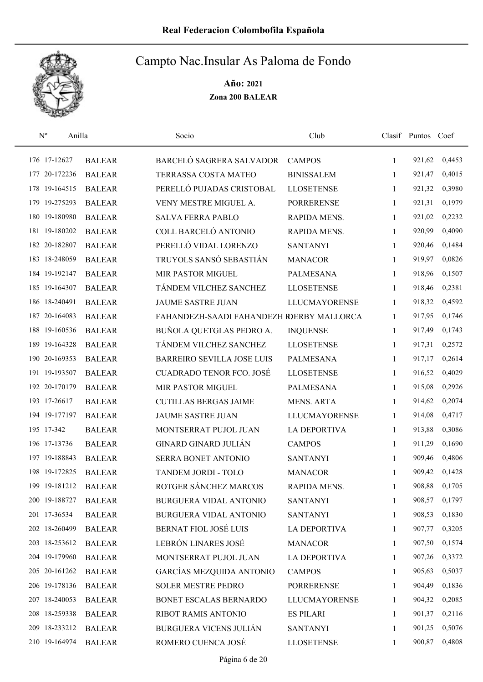

| $\mathbf{N}^{\text{o}}$ | Anilla        | Socio                                     | Club                 |              | Clasif Puntos Coef |        |
|-------------------------|---------------|-------------------------------------------|----------------------|--------------|--------------------|--------|
| 176 17-12627            | <b>BALEAR</b> | BARCELÓ SAGRERA SALVADOR                  | <b>CAMPOS</b>        | 1            | 921,62             | 0,4453 |
| 177 20-172236           | <b>BALEAR</b> | TERRASSA COSTA MATEO                      | <b>BINISSALEM</b>    | 1            | 921,47             | 0,4015 |
| 178 19-164515           | <b>BALEAR</b> | PERELLÓ PUJADAS CRISTOBAL                 | <b>LLOSETENSE</b>    | $\mathbf{1}$ | 921,32             | 0,3980 |
| 179 19-275293           | <b>BALEAR</b> | VENY MESTRE MIGUEL A.                     | <b>PORRERENSE</b>    | $\mathbf{1}$ | 921,31             | 0,1979 |
| 180 19-180980           | <b>BALEAR</b> | <b>SALVA FERRA PABLO</b>                  | RAPIDA MENS.         | 1            | 921,02             | 0,2232 |
| 181 19-180202           | <b>BALEAR</b> | COLL BARCELÓ ANTONIO                      | RAPIDA MENS.         | $\mathbf{1}$ | 920,99             | 0,4090 |
| 182 20-182807           | <b>BALEAR</b> | PERELLÓ VIDAL LORENZO                     | <b>SANTANYI</b>      | $\mathbf{1}$ | 920,46             | 0,1484 |
| 183 18-248059           | <b>BALEAR</b> | TRUYOLS SANSÓ SEBASTIÁN                   | <b>MANACOR</b>       | $\mathbf{1}$ | 919,97             | 0,0826 |
| 184 19-192147           | <b>BALEAR</b> | MIR PASTOR MIGUEL                         | <b>PALMESANA</b>     | 1            | 918,96             | 0,1507 |
| 185 19-164307           | <b>BALEAR</b> | TÁNDEM VILCHEZ SANCHEZ                    | <b>LLOSETENSE</b>    | 1            | 918,46             | 0,2381 |
| 186 18-240491           | <b>BALEAR</b> | <b>JAUME SASTRE JUAN</b>                  | <b>LLUCMAYORENSE</b> | 1            | 918,32             | 0,4592 |
| 187 20-164083           | <b>BALEAR</b> | FAHANDEZH-SAADI FAHANDEZH RDERBY MALLORCA |                      | 1            | 917,95             | 0,1746 |
| 188 19-160536           | <b>BALEAR</b> | BUÑOLA QUETGLAS PEDRO A.                  | <b>INQUENSE</b>      | 1            | 917,49             | 0,1743 |
| 189 19-164328           | <b>BALEAR</b> | TÁNDEM VILCHEZ SANCHEZ                    | <b>LLOSETENSE</b>    | 1            | 917,31             | 0,2572 |
| 190 20-169353           | <b>BALEAR</b> | <b>BARREIRO SEVILLA JOSE LUIS</b>         | <b>PALMESANA</b>     | 1            | 917,17             | 0,2614 |
| 191 19-193507           | <b>BALEAR</b> | <b>CUADRADO TENOR FCO. JOSÉ</b>           | <b>LLOSETENSE</b>    | $\mathbf{1}$ | 916,52             | 0,4029 |
| 192 20-170179           | <b>BALEAR</b> | MIR PASTOR MIGUEL                         | <b>PALMESANA</b>     | $\mathbf{1}$ | 915,08             | 0,2926 |
| 193 17-26617            | <b>BALEAR</b> | <b>CUTILLAS BERGAS JAIME</b>              | <b>MENS. ARTA</b>    | 1            | 914,62             | 0,2074 |
| 194 19-177197           | <b>BALEAR</b> | <b>JAUME SASTRE JUAN</b>                  | <b>LLUCMAYORENSE</b> | 1            | 914,08             | 0,4717 |
| 195 17-342              | <b>BALEAR</b> | MONTSERRAT PUJOL JUAN                     | <b>LA DEPORTIVA</b>  | $\mathbf{1}$ | 913,88             | 0,3086 |
| 196 17-13736            | <b>BALEAR</b> | <b>GINARD GINARD JULIÁN</b>               | <b>CAMPOS</b>        | $\mathbf{1}$ | 911,29             | 0,1690 |
| 197 19-188843           | <b>BALEAR</b> | SERRA BONET ANTONIO                       | <b>SANTANYI</b>      | 1            | 909,46             | 0,4806 |
| 198 19-172825           | <b>BALEAR</b> | TANDEM JORDI - TOLO                       | <b>MANACOR</b>       | 1            | 909,42             | 0,1428 |
| 199 19-181212           | <b>BALEAR</b> | ROTGER SÁNCHEZ MARCOS                     | RAPIDA MENS.         | 1            | 908,88             | 0,1705 |
| 200 19-188727           | <b>BALEAR</b> | BURGUERA VIDAL ANTONIO                    | <b>SANTANYI</b>      | 1            | 908,57             | 0,1797 |
| 201 17-36534            | <b>BALEAR</b> | <b>BURGUERA VIDAL ANTONIO</b>             | <b>SANTANYI</b>      | 1            | 908,53             | 0,1830 |
| 202 18-260499           | <b>BALEAR</b> | <b>BERNAT FIOL JOSÉ LUIS</b>              | <b>LA DEPORTIVA</b>  | 1            | 907,77             | 0,3205 |
| 203 18-253612           | <b>BALEAR</b> | LEBRÓN LINARES JOSÉ                       | <b>MANACOR</b>       | 1            | 907,50             | 0,1574 |
| 204 19-179960           | <b>BALEAR</b> | MONTSERRAT PUJOL JUAN                     | <b>LA DEPORTIVA</b>  | 1            | 907,26             | 0,3372 |
| 205 20-161262           | <b>BALEAR</b> | <b>GARCÍAS MEZQUIDA ANTONIO</b>           | <b>CAMPOS</b>        | 1            | 905,63             | 0,5037 |
| 206 19-178136           | <b>BALEAR</b> | <b>SOLER MESTRE PEDRO</b>                 | <b>PORRERENSE</b>    | 1            | 904,49             | 0,1836 |
| 207 18-240053           | <b>BALEAR</b> | BONET ESCALAS BERNARDO                    | <b>LLUCMAYORENSE</b> | 1            | 904,32             | 0,2085 |
| 208 18-259338           | <b>BALEAR</b> | RIBOT RAMIS ANTONIO                       | <b>ES PILARI</b>     | 1            | 901,37             | 0,2116 |
| 209 18-233212           | <b>BALEAR</b> | <b>BURGUERA VICENS JULIÁN</b>             | <b>SANTANYI</b>      | 1            | 901,25             | 0,5076 |
| 210 19-164974           | <b>BALEAR</b> | ROMERO CUENCA JOSÉ                        | <b>LLOSETENSE</b>    | 1            | 900,87             | 0,4808 |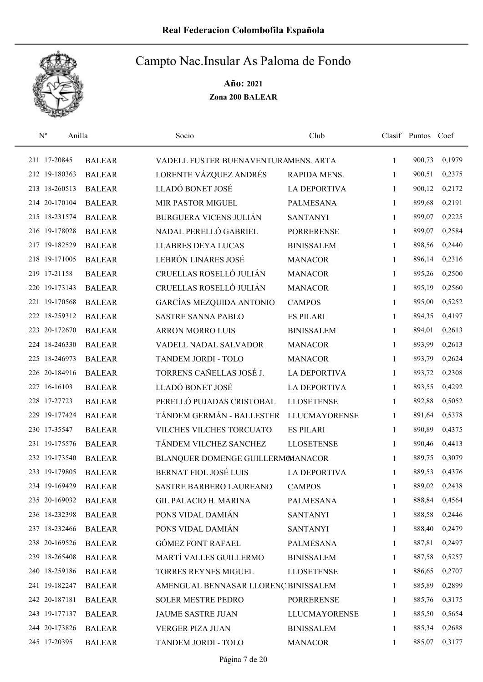

| $\mathbf{N}^{\text{o}}$ | Anilla        | Socio                                | Club                 |              | Clasif Puntos Coef |        |
|-------------------------|---------------|--------------------------------------|----------------------|--------------|--------------------|--------|
| 211 17-20845            | <b>BALEAR</b> | VADELL FUSTER BUENAVENTURAMENS. ARTA |                      | 1            | 900,73             | 0,1979 |
| 212 19-180363           | <b>BALEAR</b> | LORENTE VÁZQUEZ ANDRÉS               | RAPIDA MENS.         | 1            | 900,51             | 0,2375 |
| 213 18-260513           | <b>BALEAR</b> | LLADÓ BONET JOSÉ                     | <b>LA DEPORTIVA</b>  | $\mathbf{1}$ | 900,12             | 0,2172 |
| 214 20-170104           | <b>BALEAR</b> | MIR PASTOR MIGUEL                    | <b>PALMESANA</b>     | 1            | 899,68             | 0,2191 |
| 215 18-231574           | <b>BALEAR</b> | <b>BURGUERA VICENS JULIÁN</b>        | <b>SANTANYI</b>      | 1            | 899,07             | 0,2225 |
| 216 19-178028           | <b>BALEAR</b> | NADAL PERELLÓ GABRIEL                | <b>PORRERENSE</b>    | $\mathbf{1}$ | 899,07             | 0,2584 |
| 217 19-182529           | <b>BALEAR</b> | <b>LLABRES DEYA LUCAS</b>            | <b>BINISSALEM</b>    | 1            | 898,56             | 0,2440 |
| 218 19-171005           | <b>BALEAR</b> | LEBRÓN LINARES JOSÉ                  | <b>MANACOR</b>       | $\mathbf{1}$ | 896,14             | 0,2316 |
| 219 17-21158            | <b>BALEAR</b> | CRUELLAS ROSELLÓ JULIÁN              | <b>MANACOR</b>       | 1            | 895,26             | 0,2500 |
| 220 19-173143           | <b>BALEAR</b> | CRUELLAS ROSELLÓ JULIÁN              | <b>MANACOR</b>       | 1            | 895,19             | 0,2560 |
| 221 19-170568           | <b>BALEAR</b> | GARCÍAS MEZQUIDA ANTONIO             | <b>CAMPOS</b>        | 1            | 895,00             | 0,5252 |
| 222 18-259312           | <b>BALEAR</b> | <b>SASTRE SANNA PABLO</b>            | <b>ES PILARI</b>     | 1            | 894,35             | 0,4197 |
| 223 20-172670           | <b>BALEAR</b> | ARRON MORRO LUIS                     | <b>BINISSALEM</b>    | 1            | 894,01             | 0,2613 |
| 224 18-246330           | <b>BALEAR</b> | VADELL NADAL SALVADOR                | <b>MANACOR</b>       | 1            | 893,99             | 0,2613 |
| 225 18-246973           | <b>BALEAR</b> | TANDEM JORDI - TOLO                  | <b>MANACOR</b>       | $\mathbf{1}$ | 893,79             | 0,2624 |
| 226 20-184916           | <b>BALEAR</b> | TORRENS CAÑELLAS JOSÉ J.             | <b>LA DEPORTIVA</b>  | 1            | 893,72             | 0,2308 |
| 227 16-16103            | <b>BALEAR</b> | LLADÓ BONET JOSÉ                     | <b>LA DEPORTIVA</b>  | 1            | 893,55             | 0,4292 |
| 228 17-27723            | <b>BALEAR</b> | PERELLÓ PUJADAS CRISTOBAL            | <b>LLOSETENSE</b>    | 1            | 892,88             | 0,5052 |
| 229 19-177424           | <b>BALEAR</b> | TÁNDEM GERMÁN - BALLESTER            | <b>LLUCMAYORENSE</b> | 1            | 891,64             | 0,5378 |
| 230 17-35547            | <b>BALEAR</b> | VILCHES VILCHES TORCUATO             | <b>ES PILARI</b>     | $\mathbf{1}$ | 890,89             | 0,4375 |
| 231 19-175576           | <b>BALEAR</b> | TÁNDEM VILCHEZ SANCHEZ               | <b>LLOSETENSE</b>    | $\mathbf{1}$ | 890,46             | 0,4413 |
| 232 19-173540           | <b>BALEAR</b> | BLANQUER DOMENGE GUILLERMOMANACOR    |                      | 1            | 889,75             | 0,3079 |
| 233 19-179805           | <b>BALEAR</b> | <b>BERNAT FIOL JOSÉ LUIS</b>         | <b>LA DEPORTIVA</b>  | 1            | 889,53             | 0,4376 |
| 234 19-169429           | <b>BALEAR</b> | SASTRE BARBERO LAUREANO              | <b>CAMPOS</b>        | 1            | 889,02             | 0,2438 |
| 235 20-169032           | <b>BALEAR</b> | <b>GIL PALACIO H. MARINA</b>         | <b>PALMESANA</b>     | 1            | 888,84             | 0,4564 |
| 236 18-232398           | <b>BALEAR</b> | PONS VIDAL DAMIÁN                    | <b>SANTANYI</b>      | 1            | 888,58             | 0,2446 |
| 237 18-232466           | <b>BALEAR</b> | PONS VIDAL DAMIÁN                    | <b>SANTANYI</b>      | 1            | 888,40             | 0,2479 |
| 238 20-169526           | <b>BALEAR</b> | <b>GÓMEZ FONT RAFAEL</b>             | PALMESANA            | 1            | 887,81             | 0,2497 |
| 239 18-265408           | <b>BALEAR</b> | MARTÍ VALLES GUILLERMO               | <b>BINISSALEM</b>    | 1            | 887,58             | 0,5257 |
| 240 18-259186           | <b>BALEAR</b> | <b>TORRES REYNES MIGUEL</b>          | <b>LLOSETENSE</b>    | 1            | 886,65             | 0,2707 |
| 241 19-182247           | <b>BALEAR</b> | AMENGUAL BENNASAR LLORENÇ BINISSALEM |                      | 1            | 885,89             | 0,2899 |
| 242 20-187181           | <b>BALEAR</b> | SOLER MESTRE PEDRO                   | <b>PORRERENSE</b>    | 1            | 885,76             | 0,3175 |
| 243 19-177137           | <b>BALEAR</b> | JAUME SASTRE JUAN                    | <b>LLUCMAYORENSE</b> | 1            | 885,50             | 0,5654 |
| 244 20-173826           | <b>BALEAR</b> | VERGER PIZA JUAN                     | <b>BINISSALEM</b>    | 1            | 885,34             | 0,2688 |
| 245 17-20395            | <b>BALEAR</b> | TANDEM JORDI - TOLO                  | <b>MANACOR</b>       | 1            | 885,07             | 0,3177 |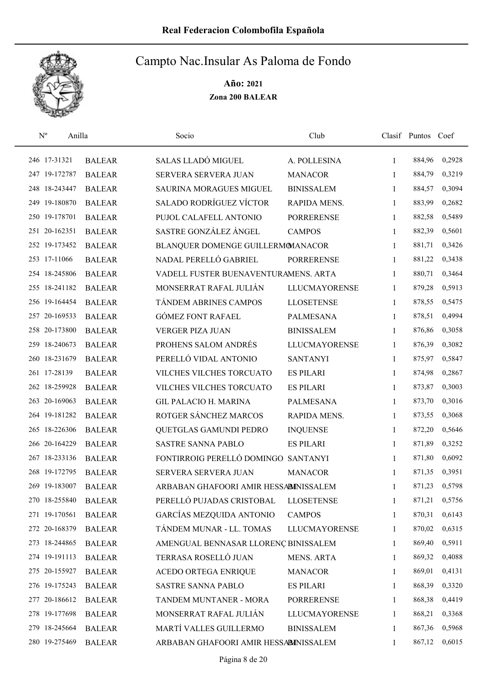

| $\mathbf{N}^{\text{o}}$ | Anilla        | Socio                                 | Club                 |              | Clasif Puntos Coef |        |
|-------------------------|---------------|---------------------------------------|----------------------|--------------|--------------------|--------|
| 246 17-31321            | <b>BALEAR</b> | SALAS LLADÓ MIGUEL                    | A. POLLESINA         | 1            | 884,96             | 0,2928 |
| 247 19-172787           | <b>BALEAR</b> | SERVERA SERVERA JUAN                  | <b>MANACOR</b>       | 1            | 884,79             | 0,3219 |
| 248 18-243447           | <b>BALEAR</b> | <b>SAURINA MORAGUES MIGUEL</b>        | <b>BINISSALEM</b>    | $\mathbf{1}$ | 884,57             | 0,3094 |
| 249 19-180870           | <b>BALEAR</b> | <b>SALADO RODRÍGUEZ VÍCTOR</b>        | RAPIDA MENS.         | 1            | 883,99             | 0,2682 |
| 250 19-178701           | <b>BALEAR</b> | PUJOL CALAFELL ANTONIO                | <b>PORRERENSE</b>    | $\mathbf{1}$ | 882,58             | 0,5489 |
| 251 20-162351           | <b>BALEAR</b> | SASTRE GONZÁLEZ ÁNGEL                 | <b>CAMPOS</b>        | 1            | 882,39             | 0,5601 |
| 252 19-173452           | <b>BALEAR</b> | BLANQUER DOMENGE GUILLERMOMANACOR     |                      | $\mathbf{1}$ | 881,71             | 0,3426 |
| 253 17-11066            | <b>BALEAR</b> | NADAL PERELLÓ GABRIEL                 | <b>PORRERENSE</b>    | $\mathbf{1}$ | 881,22             | 0,3438 |
| 254 18-245806           | <b>BALEAR</b> | VADELL FUSTER BUENAVENTURAMENS. ARTA  |                      | 1            | 880,71             | 0,3464 |
| 255 18-241182           | <b>BALEAR</b> | MONSERRAT RAFAL JULIÁN                | <b>LLUCMAYORENSE</b> | 1            | 879,28             | 0,5913 |
| 256 19-164454           | <b>BALEAR</b> | TÁNDEM ABRINES CAMPOS                 | <b>LLOSETENSE</b>    | 1            | 878,55             | 0,5475 |
| 257 20-169533           | <b>BALEAR</b> | <b>GÓMEZ FONT RAFAEL</b>              | <b>PALMESANA</b>     | 1            | 878,51             | 0,4994 |
| 258 20-173800           | <b>BALEAR</b> | <b>VERGER PIZA JUAN</b>               | <b>BINISSALEM</b>    | 1            | 876,86             | 0,3058 |
| 259 18-240673           | <b>BALEAR</b> | PROHENS SALOM ANDRÉS                  | <b>LLUCMAYORENSE</b> | 1            | 876,39             | 0,3082 |
| 260 18-231679           | <b>BALEAR</b> | PERELLÓ VIDAL ANTONIO                 | <b>SANTANYI</b>      | 1            | 875,97             | 0,5847 |
| 261 17-28139            | <b>BALEAR</b> | VILCHES VILCHES TORCUATO              | <b>ES PILARI</b>     | 1            | 874,98             | 0,2867 |
| 262 18-259928           | <b>BALEAR</b> | VILCHES VILCHES TORCUATO              | <b>ES PILARI</b>     | 1            | 873,87             | 0,3003 |
| 263 20-169063           | <b>BALEAR</b> | <b>GIL PALACIO H. MARINA</b>          | <b>PALMESANA</b>     | 1            | 873,70             | 0,3016 |
| 264 19-181282           | <b>BALEAR</b> | ROTGER SÁNCHEZ MARCOS                 | RAPIDA MENS.         | 1            | 873,55             | 0,3068 |
| 265 18-226306           | <b>BALEAR</b> | QUETGLAS GAMUNDI PEDRO                | <b>INQUENSE</b>      | $\mathbf{1}$ | 872,20             | 0,5646 |
| 266 20-164229           | <b>BALEAR</b> | <b>SASTRE SANNA PABLO</b>             | <b>ES PILARI</b>     | $\mathbf{1}$ | 871,89             | 0,3252 |
| 267 18-233136           | <b>BALEAR</b> | FONTIRROIG PERELLÓ DOMINGO SANTANYI   |                      | 1            | 871,80             | 0,6092 |
| 268 19-172795           | <b>BALEAR</b> | SERVERA SERVERA JUAN                  | <b>MANACOR</b>       | 1            | 871,35             | 0,3951 |
| 269 19-183007           | <b>BALEAR</b> | ARBABAN GHAFOORI AMIR HESSABINISSALEM |                      | 1            | 871,23             | 0,5798 |
| 270 18-255840           | <b>BALEAR</b> | PERELLÓ PUJADAS CRISTOBAL             | <b>LLOSETENSE</b>    | 1            | 871,21             | 0,5756 |
| 271 19-170561           | <b>BALEAR</b> | GARCÍAS MEZQUIDA ANTONIO              | <b>CAMPOS</b>        | 1            | 870,31             | 0,6143 |
| 272 20-168379           | <b>BALEAR</b> | TÁNDEM MUNAR - LL. TOMAS              | LLUCMAYORENSE        | 1            | 870,02             | 0,6315 |
| 273 18-244865           | <b>BALEAR</b> | AMENGUAL BENNASAR LLORENÇ BINISSALEM  |                      | 1            | 869,40             | 0,5911 |
| 274 19-191113           | <b>BALEAR</b> | TERRASA ROSELLÓ JUAN                  | <b>MENS. ARTA</b>    | 1            | 869,32             | 0,4088 |
| 275 20-155927           | <b>BALEAR</b> | <b>ACEDO ORTEGA ENRIQUE</b>           | <b>MANACOR</b>       | 1            | 869,01             | 0,4131 |
| 276 19-175243           | <b>BALEAR</b> | SASTRE SANNA PABLO                    | <b>ES PILARI</b>     | 1            | 868,39             | 0,3320 |
| 277 20-186612           | <b>BALEAR</b> | TANDEM MUNTANER - MORA                | <b>PORRERENSE</b>    | 1            | 868,38             | 0,4419 |
| 278 19-177698           | <b>BALEAR</b> | MONSERRAT RAFAL JULIÁN                | <b>LLUCMAYORENSE</b> | 1            | 868,21             | 0,3368 |
| 279 18-245664           | <b>BALEAR</b> | MARTÍ VALLES GUILLERMO                | <b>BINISSALEM</b>    | 1            | 867,36             | 0,5968 |
| 280 19-275469           | <b>BALEAR</b> | ARBABAN GHAFOORI AMIR HESSABINISSALEM |                      | 1            | 867,12             | 0,6015 |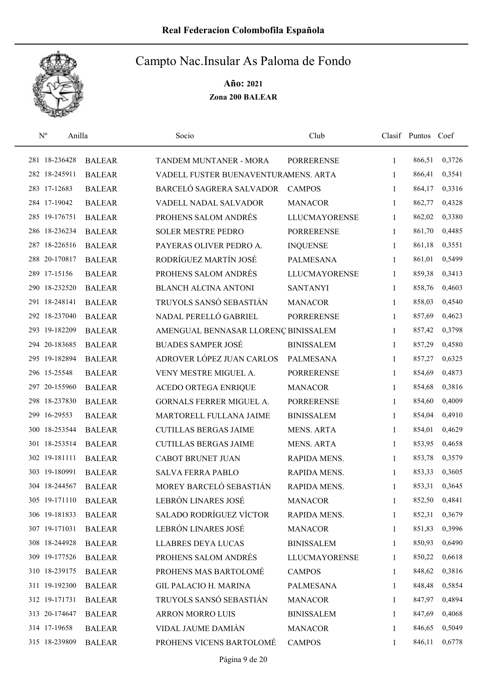

| $N^{o}$         | Anilla        | Socio                                | Club                 |              | Clasif Puntos Coef |        |
|-----------------|---------------|--------------------------------------|----------------------|--------------|--------------------|--------|
| 281 18-236428   | <b>BALEAR</b> | TANDEM MUNTANER - MORA               | <b>PORRERENSE</b>    | 1            | 866,51             | 0,3726 |
| 282 18-245911   | <b>BALEAR</b> | VADELL FUSTER BUENAVENTURAMENS. ARTA |                      | 1            | 866,41             | 0,3541 |
| 283 17-12683    | <b>BALEAR</b> | BARCELÓ SAGRERA SALVADOR             | <b>CAMPOS</b>        | 1            | 864,17             | 0,3316 |
| 284 17-19042    | <b>BALEAR</b> | VADELL NADAL SALVADOR                | <b>MANACOR</b>       | 1            | 862,77             | 0,4328 |
| 285 19-176751   | <b>BALEAR</b> | PROHENS SALOM ANDRÉS                 | <b>LLUCMAYORENSE</b> | $\mathbf{1}$ | 862,02             | 0,3380 |
| 286 18-236234   | <b>BALEAR</b> | <b>SOLER MESTRE PEDRO</b>            | <b>PORRERENSE</b>    | $\mathbf{1}$ | 861,70             | 0,4485 |
| 287 18-226516   | <b>BALEAR</b> | PAYERAS OLIVER PEDRO A.              | <b>INQUENSE</b>      | 1            | 861,18             | 0,3551 |
| 288 20-170817   | <b>BALEAR</b> | RODRÍGUEZ MARTÍN JOSÉ                | PALMESANA            | 1            | 861,01             | 0,5499 |
| 289 17-15156    | <b>BALEAR</b> | PROHENS SALOM ANDRÉS                 | <b>LLUCMAYORENSE</b> | 1            | 859,38             | 0,3413 |
| 290 18-232520   | <b>BALEAR</b> | <b>BLANCH ALCINA ANTONI</b>          | <b>SANTANYI</b>      | 1            | 858,76             | 0,4603 |
| 291 18-248141   | <b>BALEAR</b> | TRUYOLS SANSÓ SEBASTIÁN              | <b>MANACOR</b>       | 1            | 858,03             | 0,4540 |
| 292 18-237040   | <b>BALEAR</b> | NADAL PERELLÓ GABRIEL                | <b>PORRERENSE</b>    | 1            | 857,69             | 0,4623 |
| 293 19-182209   | <b>BALEAR</b> | AMENGUAL BENNASAR LLORENÇ BINISSALEM |                      | 1            | 857,42             | 0,3798 |
| 294 20-183685   | <b>BALEAR</b> | <b>BUADES SAMPER JOSÉ</b>            | <b>BINISSALEM</b>    | 1            | 857,29             | 0,4580 |
| 295 19-182894   | <b>BALEAR</b> | ADROVER LÓPEZ JUAN CARLOS            | <b>PALMESANA</b>     | 1            | 857,27             | 0,6325 |
| 296 15-25548    | <b>BALEAR</b> | VENY MESTRE MIGUEL A.                | <b>PORRERENSE</b>    | 1            | 854,69             | 0,4873 |
| 297 20-155960   | <b>BALEAR</b> | ACEDO ORTEGA ENRIQUE                 | <b>MANACOR</b>       | 1            | 854,68             | 0,3816 |
| 298 18-237830   | <b>BALEAR</b> | GORNALS FERRER MIGUEL A.             | <b>PORRERENSE</b>    | $\mathbf{1}$ | 854,60             | 0,4009 |
| 16-29553<br>299 | <b>BALEAR</b> | MARTORELL FULLANA JAIME              | <b>BINISSALEM</b>    | $\mathbf{1}$ | 854,04             | 0,4910 |
| 300 18-253544   | <b>BALEAR</b> | <b>CUTILLAS BERGAS JAIME</b>         | <b>MENS. ARTA</b>    | 1            | 854,01             | 0,4629 |
| 301 18-253514   | <b>BALEAR</b> | <b>CUTILLAS BERGAS JAIME</b>         | <b>MENS. ARTA</b>    | $\mathbf{1}$ | 853,95             | 0,4658 |
| 302 19-181111   | <b>BALEAR</b> | <b>CABOT BRUNET JUAN</b>             | RAPIDA MENS.         | 1            | 853,78             | 0,3579 |
| 303 19-180991   | <b>BALEAR</b> | <b>SALVA FERRA PABLO</b>             | RAPIDA MENS.         | 1            | 853,33             | 0,3605 |
| 304 18-244567   | <b>BALEAR</b> | MOREY BARCELÓ SEBASTIÁN              | RAPIDA MENS.         | 1            | 853,31             | 0,3645 |
| 305 19-171110   | <b>BALEAR</b> | LEBRÓN LINARES JOSÉ                  | <b>MANACOR</b>       | 1            | 852,50             | 0,4841 |
| 306 19-181833   | <b>BALEAR</b> | SALADO RODRÍGUEZ VÍCTOR              | RAPIDA MENS.         | 1            | 852,31             | 0,3679 |
| 307 19-171031   | <b>BALEAR</b> | LEBRÓN LINARES JOSÉ                  | <b>MANACOR</b>       | 1            | 851,83             | 0,3996 |
| 308 18-244928   | <b>BALEAR</b> | <b>LLABRES DEYA LUCAS</b>            | <b>BINISSALEM</b>    | 1            | 850,93             | 0,6490 |
| 309 19-177526   | <b>BALEAR</b> | PROHENS SALOM ANDRÉS                 | <b>LLUCMAYORENSE</b> | 1            | 850,22             | 0,6618 |
| 310 18-239175   | <b>BALEAR</b> | PROHENS MAS BARTOLOMÉ                | <b>CAMPOS</b>        | $\mathbf{1}$ | 848,62             | 0,3816 |
| 311 19-192300   | <b>BALEAR</b> | <b>GIL PALACIO H. MARINA</b>         | PALMESANA            | 1            | 848,48             | 0,5854 |
| 312 19-171731   | <b>BALEAR</b> | TRUYOLS SANSÓ SEBASTIÁN              | <b>MANACOR</b>       | 1            | 847,97             | 0,4894 |
| 313 20-174647   | <b>BALEAR</b> | <b>ARRON MORRO LUIS</b>              | <b>BINISSALEM</b>    | 1            | 847,69             | 0,4068 |
| 314 17-19658    | <b>BALEAR</b> | VIDAL JAUME DAMIÁN                   | <b>MANACOR</b>       | 1            | 846,65             | 0,5049 |
| 315 18-239809   | <b>BALEAR</b> | PROHENS VICENS BARTOLOMÉ             | <b>CAMPOS</b>        | 1            | 846,11             | 0,6778 |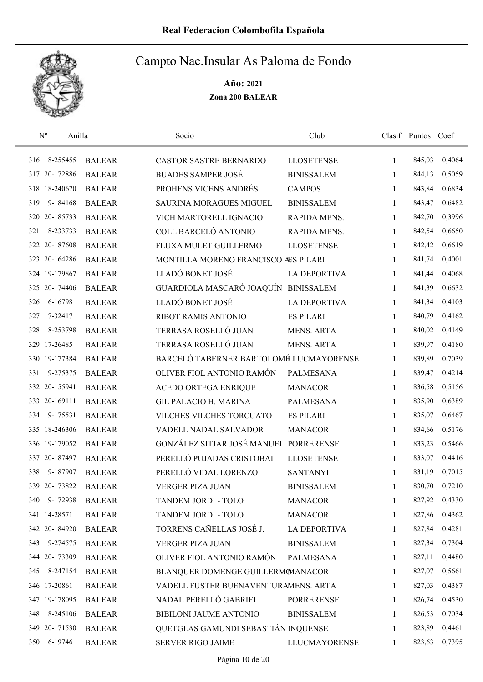

| $\mathbf{N}^{\mathrm{o}}$ | Anilla |               | Socio                                  | Club                 |              | Clasif Puntos Coef |        |
|---------------------------|--------|---------------|----------------------------------------|----------------------|--------------|--------------------|--------|
| 316 18-255455             |        | <b>BALEAR</b> | CASTOR SASTRE BERNARDO                 | <b>LLOSETENSE</b>    | 1            | 845,03             | 0,4064 |
| 317 20-172886             |        | <b>BALEAR</b> | <b>BUADES SAMPER JOSÉ</b>              | <b>BINISSALEM</b>    | 1            | 844,13             | 0,5059 |
| 318 18-240670             |        | <b>BALEAR</b> | PROHENS VICENS ANDRÉS                  | <b>CAMPOS</b>        | 1            | 843,84             | 0,6834 |
| 319 19-184168             |        | <b>BALEAR</b> | <b>SAURINA MORAGUES MIGUEL</b>         | <b>BINISSALEM</b>    | 1            | 843,47             | 0,6482 |
| 320 20-185733             |        | <b>BALEAR</b> | VICH MARTORELL IGNACIO                 | RAPIDA MENS.         | 1            | 842,70             | 0,3996 |
| 321 18-233733             |        | <b>BALEAR</b> | COLL BARCELÓ ANTONIO                   | RAPIDA MENS.         | 1            | 842,54             | 0,6650 |
| 322 20-187608             |        | <b>BALEAR</b> | FLUXA MULET GUILLERMO                  | <b>LLOSETENSE</b>    | $\mathbf{1}$ | 842,42             | 0,6619 |
| 323 20-164286             |        | <b>BALEAR</b> | MONTILLA MORENO FRANCISCO ÆS PILARI    |                      | 1            | 841,74             | 0,4001 |
| 324 19-179867             |        | <b>BALEAR</b> | LLADÓ BONET JOSÉ                       | <b>LA DEPORTIVA</b>  | 1            | 841,44             | 0,4068 |
| 325 20-174406             |        | <b>BALEAR</b> | GUARDIOLA MASCARÓ JOAQUÍN              | <b>BINISSALEM</b>    | 1            | 841,39             | 0,6632 |
| 326 16-16798              |        | <b>BALEAR</b> | LLADÓ BONET JOSÉ                       | <b>LA DEPORTIVA</b>  | 1            | 841,34             | 0,4103 |
| 327 17-32417              |        | <b>BALEAR</b> | RIBOT RAMIS ANTONIO                    | <b>ES PILARI</b>     | 1            | 840,79             | 0,4162 |
| 328 18-253798             |        | <b>BALEAR</b> | TERRASA ROSELLÓ JUAN                   | <b>MENS. ARTA</b>    | 1            | 840,02             | 0,4149 |
| 329 17-26485              |        | <b>BALEAR</b> | TERRASA ROSELLÓ JUAN                   | <b>MENS. ARTA</b>    | 1            | 839,97             | 0,4180 |
| 330 19-177384             |        | <b>BALEAR</b> | BARCELÓ TABERNER BARTOLOMÉLUCMAYORENSE |                      | 1            | 839,89             | 0,7039 |
| 331 19-275375             |        | <b>BALEAR</b> | OLIVER FIOL ANTONIO RAMÓN              | <b>PALMESANA</b>     | 1            | 839,47             | 0,4214 |
| 332 20-155941             |        | <b>BALEAR</b> | <b>ACEDO ORTEGA ENRIQUE</b>            | <b>MANACOR</b>       | 1            | 836,58             | 0,5156 |
| 333 20-169111             |        | <b>BALEAR</b> | <b>GIL PALACIO H. MARINA</b>           | <b>PALMESANA</b>     | 1            | 835,90             | 0,6389 |
| 334 19-175531             |        | <b>BALEAR</b> | VILCHES VILCHES TORCUATO               | <b>ES PILARI</b>     | 1            | 835,07             | 0,6467 |
| 335 18-246306             |        | <b>BALEAR</b> | VADELL NADAL SALVADOR                  | <b>MANACOR</b>       | $\mathbf{1}$ | 834,66             | 0,5176 |
| 336 19-179052             |        | <b>BALEAR</b> | GONZÁLEZ SITJAR JOSÉ MANUEL PORRERENSE |                      | $\mathbf{1}$ | 833,23             | 0,5466 |
| 337 20-187497             |        | <b>BALEAR</b> | PERELLÓ PUJADAS CRISTOBAL              | <b>LLOSETENSE</b>    | 1            | 833,07             | 0,4416 |
| 338 19-187907             |        | <b>BALEAR</b> | PERELLÓ VIDAL LORENZO                  | <b>SANTANYI</b>      | 1            | 831,19             | 0,7015 |
| 339 20-173822             |        | <b>BALEAR</b> | <b>VERGER PIZA JUAN</b>                | <b>BINISSALEM</b>    | 1            | 830,70             | 0,7210 |
| 340 19-172938             |        | <b>BALEAR</b> | TANDEM JORDI - TOLO                    | <b>MANACOR</b>       | 1            | 827,92             | 0,4330 |
| 341 14-28571              |        | <b>BALEAR</b> | TANDEM JORDI - TOLO                    | <b>MANACOR</b>       | 1            | 827,86             | 0,4362 |
| 342 20-184920             |        | <b>BALEAR</b> | TORRENS CAÑELLAS JOSÉ J.               | LA DEPORTIVA         | 1            | 827,84             | 0,4281 |
| 343 19-274575             |        | <b>BALEAR</b> | VERGER PIZA JUAN                       | <b>BINISSALEM</b>    | 1            | 827,34             | 0,7304 |
| 344 20-173309             |        | <b>BALEAR</b> | OLIVER FIOL ANTONIO RAMÓN              | PALMESANA            | 1            | 827,11             | 0,4480 |
| 345 18-247154             |        | <b>BALEAR</b> | BLANQUER DOMENGE GUILLERMOMANACOR      |                      | 1            | 827,07             | 0,5661 |
| 346 17-20861              |        | <b>BALEAR</b> | VADELL FUSTER BUENAVENTURAMENS. ARTA   |                      | 1            | 827,03             | 0,4387 |
| 347 19-178095             |        | <b>BALEAR</b> | NADAL PERELLÓ GABRIEL                  | <b>PORRERENSE</b>    | 1            | 826,74             | 0,4530 |
| 348 18-245106             |        | <b>BALEAR</b> | BIBILONI JAUME ANTONIO                 | <b>BINISSALEM</b>    | 1            | 826,53             | 0,7034 |
| 349 20-171530             |        | <b>BALEAR</b> | QUETGLAS GAMUNDI SEBASTIÁN INQUENSE    |                      | 1            | 823,89             | 0,4461 |
| 350 16-19746              |        | <b>BALEAR</b> | SERVER RIGO JAIME                      | <b>LLUCMAYORENSE</b> | 1            | 823,63             | 0,7395 |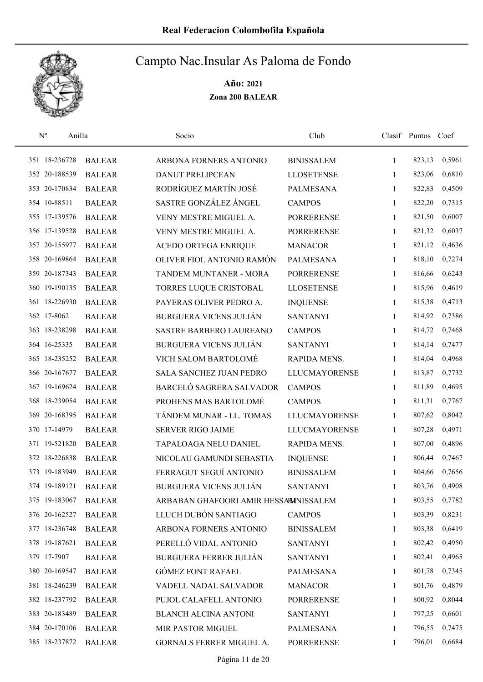

| $\mathbf{N}^{\text{o}}$ | Anilla |               | Socio                                 | Club                 |              | Clasif Puntos | Coef   |
|-------------------------|--------|---------------|---------------------------------------|----------------------|--------------|---------------|--------|
| 351 18-236728           |        | <b>BALEAR</b> | ARBONA FORNERS ANTONIO                | <b>BINISSALEM</b>    | 1            | 823,13        | 0,5961 |
| 352 20-188539           |        | <b>BALEAR</b> | <b>DANUT PRELIPCEAN</b>               | <b>LLOSETENSE</b>    | 1            | 823,06        | 0,6810 |
| 353 20-170834           |        | <b>BALEAR</b> | RODRÍGUEZ MARTÍN JOSÉ                 | <b>PALMESANA</b>     | $\mathbf{1}$ | 822,83        | 0,4509 |
| 354 10-88511            |        | <b>BALEAR</b> | SASTRE GONZÁLEZ ÁNGEL                 | <b>CAMPOS</b>        | 1            | 822,20        | 0,7315 |
| 355 17-139576           |        | <b>BALEAR</b> | VENY MESTRE MIGUEL A.                 | <b>PORRERENSE</b>    | 1            | 821,50        | 0,6007 |
| 356 17-139528           |        | <b>BALEAR</b> | VENY MESTRE MIGUEL A.                 | <b>PORRERENSE</b>    | 1            | 821,32        | 0,6037 |
| 357 20-155977           |        | <b>BALEAR</b> | ACEDO ORTEGA ENRIQUE                  | <b>MANACOR</b>       | 1            | 821,12        | 0,4636 |
| 358 20-169864           |        | <b>BALEAR</b> | OLIVER FIOL ANTONIO RAMÓN             | <b>PALMESANA</b>     | 1            | 818,10        | 0,7274 |
| 359 20-187343           |        | <b>BALEAR</b> | TANDEM MUNTANER - MORA                | <b>PORRERENSE</b>    | 1            | 816,66        | 0,6243 |
| 360 19-190135           |        | <b>BALEAR</b> | TORRES LUQUE CRISTOBAL                | <b>LLOSETENSE</b>    | 1            | 815,96        | 0,4619 |
| 361 18-226930           |        | <b>BALEAR</b> | PAYERAS OLIVER PEDRO A.               | <b>INQUENSE</b>      | 1            | 815,38        | 0,4713 |
| 362 17-8062             |        | <b>BALEAR</b> | <b>BURGUERA VICENS JULIÁN</b>         | <b>SANTANYI</b>      | 1            | 814,92        | 0,7386 |
| 363 18-238298           |        | <b>BALEAR</b> | <b>SASTRE BARBERO LAUREANO</b>        | <b>CAMPOS</b>        | 1            | 814,72        | 0,7468 |
| 364 16-25335            |        | <b>BALEAR</b> | <b>BURGUERA VICENS JULIÁN</b>         | <b>SANTANYI</b>      | $\mathbf{1}$ | 814,14        | 0,7477 |
| 365 18-235252           |        | <b>BALEAR</b> | VICH SALOM BARTOLOMÉ                  | RAPIDA MENS.         | 1            | 814,04        | 0,4968 |
| 366 20-167677           |        | <b>BALEAR</b> | SALA SANCHEZ JUAN PEDRO               | <b>LLUCMAYORENSE</b> | 1            | 813,87        | 0,7732 |
| 367 19-169624           |        | <b>BALEAR</b> | BARCELÓ SAGRERA SALVADOR              | <b>CAMPOS</b>        | $\mathbf{1}$ | 811,89        | 0,4695 |
| 368 18-239054           |        | <b>BALEAR</b> | PROHENS MAS BARTOLOMÉ                 | <b>CAMPOS</b>        | $\mathbf{1}$ | 811,31        | 0,7767 |
| 369 20-168395           |        | <b>BALEAR</b> | TÁNDEM MUNAR - LL. TOMAS              | <b>LLUCMAYORENSE</b> | $\mathbf{1}$ | 807,62        | 0,8042 |
| 370 17-14979            |        | <b>BALEAR</b> | <b>SERVER RIGO JAIME</b>              | <b>LLUCMAYORENSE</b> | 1            | 807,28        | 0,4971 |
| 371 19-521820           |        | <b>BALEAR</b> | TAPALOAGA NELU DANIEL                 | RAPIDA MENS.         | $\mathbf{1}$ | 807,00        | 0,4896 |
| 372 18-226838           |        | <b>BALEAR</b> | NICOLAU GAMUNDI SEBASTIA              | <b>INQUENSE</b>      | 1            | 806,44        | 0,7467 |
| 373 19-183949           |        | <b>BALEAR</b> | FERRAGUT SEGUÍ ANTONIO                | <b>BINISSALEM</b>    | 1            | 804,66        | 0,7656 |
| 374 19-189121           |        | <b>BALEAR</b> | <b>BURGUERA VICENS JULIÁN</b>         | <b>SANTANYI</b>      | $\mathbf{1}$ | 803,76        | 0,4908 |
| 375 19-183067           |        | <b>BALEAR</b> | ARBABAN GHAFOORI AMIR HESSABINISSALEM |                      | 1            | 803,55        | 0,7782 |
| 376 20-162527           |        | <b>BALEAR</b> | LLUCH DUBÓN SANTIAGO                  | <b>CAMPOS</b>        | 1            | 803,39        | 0,8231 |
| 377 18-236748           |        | <b>BALEAR</b> | ARBONA FORNERS ANTONIO                | <b>BINISSALEM</b>    | 1            | 803,38        | 0,6419 |
| 378 19-187621           |        | <b>BALEAR</b> | PERELLÓ VIDAL ANTONIO                 | <b>SANTANYI</b>      | 1            | 802,42        | 0,4950 |
| 379 17-7907             |        | <b>BALEAR</b> | <b>BURGUERA FERRER JULIÁN</b>         | <b>SANTANYI</b>      | 1            | 802,41        | 0,4965 |
| 380 20-169547           |        | <b>BALEAR</b> | <b>GÓMEZ FONT RAFAEL</b>              | <b>PALMESANA</b>     | $\mathbf{1}$ | 801,78        | 0,7345 |
| 381 18-246239           |        | <b>BALEAR</b> | VADELL NADAL SALVADOR                 | <b>MANACOR</b>       | 1            | 801,76        | 0,4879 |
| 382 18-237792           |        | <b>BALEAR</b> | PUJOL CALAFELL ANTONIO                | <b>PORRERENSE</b>    | 1            | 800,92        | 0,8044 |
| 383 20-183489           |        | <b>BALEAR</b> | <b>BLANCH ALCINA ANTONI</b>           | <b>SANTANYI</b>      | 1            | 797,25        | 0,6601 |
| 384 20-170106           |        | <b>BALEAR</b> | MIR PASTOR MIGUEL                     | PALMESANA            | 1            | 796,55        | 0,7475 |
| 385 18-237872           |        | <b>BALEAR</b> | GORNALS FERRER MIGUEL A.              | <b>PORRERENSE</b>    | 1            | 796,01        | 0,6684 |
|                         |        |               |                                       |                      |              |               |        |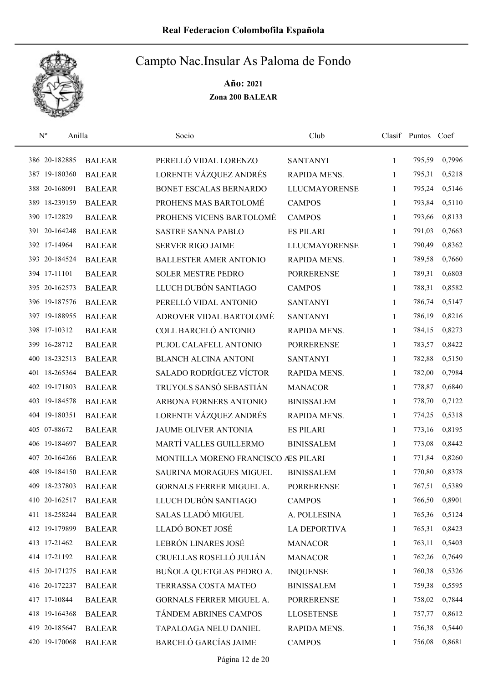

| $N^{\rm o}$   | Anilla        | Socio                               | Club                 |              | Clasif Puntos Coef |        |
|---------------|---------------|-------------------------------------|----------------------|--------------|--------------------|--------|
| 386 20-182885 | <b>BALEAR</b> | PERELLÓ VIDAL LORENZO               | <b>SANTANYI</b>      | $\mathbf{1}$ | 795,59             | 0,7996 |
| 387 19-180360 | <b>BALEAR</b> | LORENTE VÁZQUEZ ANDRÉS              | RAPIDA MENS.         | 1            | 795,31             | 0,5218 |
| 388 20-168091 | <b>BALEAR</b> | BONET ESCALAS BERNARDO              | <b>LLUCMAYORENSE</b> | 1            | 795,24             | 0,5146 |
| 389 18-239159 | <b>BALEAR</b> | PROHENS MAS BARTOLOMÉ               | <b>CAMPOS</b>        | 1            | 793,84             | 0,5110 |
| 390 17-12829  | <b>BALEAR</b> | PROHENS VICENS BARTOLOMÉ            | <b>CAMPOS</b>        | $\mathbf{1}$ | 793,66             | 0,8133 |
| 391 20-164248 | <b>BALEAR</b> | <b>SASTRE SANNA PABLO</b>           | <b>ES PILARI</b>     | $\mathbf{1}$ | 791,03             | 0,7663 |
| 392 17-14964  | <b>BALEAR</b> | <b>SERVER RIGO JAIME</b>            | <b>LLUCMAYORENSE</b> | $\mathbf{1}$ | 790,49             | 0,8362 |
| 393 20-184524 | <b>BALEAR</b> | <b>BALLESTER AMER ANTONIO</b>       | RAPIDA MENS.         | 1            | 789,58             | 0,7660 |
| 394 17-11101  | <b>BALEAR</b> | <b>SOLER MESTRE PEDRO</b>           | <b>PORRERENSE</b>    | $\mathbf{1}$ | 789,31             | 0,6803 |
| 395 20-162573 | <b>BALEAR</b> | LLUCH DUBÓN SANTIAGO                | <b>CAMPOS</b>        | 1            | 788,31             | 0,8582 |
| 396 19-187576 | <b>BALEAR</b> | PERELLÓ VIDAL ANTONIO               | <b>SANTANYI</b>      | 1            | 786,74             | 0,5147 |
| 397 19-188955 | <b>BALEAR</b> | ADROVER VIDAL BARTOLOMÉ             | <b>SANTANYI</b>      | 1            | 786,19             | 0,8216 |
| 398 17-10312  | <b>BALEAR</b> | COLL BARCELÓ ANTONIO                | <b>RAPIDA MENS.</b>  | 1            | 784,15             | 0,8273 |
| 399 16-28712  | <b>BALEAR</b> | PUJOL CALAFELL ANTONIO              | <b>PORRERENSE</b>    | 1            | 783,57             | 0,8422 |
| 400 18-232513 | <b>BALEAR</b> | <b>BLANCH ALCINA ANTONI</b>         | <b>SANTANYI</b>      | $\mathbf{1}$ | 782,88             | 0,5150 |
| 401 18-265364 | <b>BALEAR</b> | <b>SALADO RODRÍGUEZ VÍCTOR</b>      | RAPIDA MENS.         | 1            | 782,00             | 0,7984 |
| 402 19-171803 | <b>BALEAR</b> | TRUYOLS SANSÓ SEBASTIÁN             | <b>MANACOR</b>       | 1            | 778,87             | 0,6840 |
| 403 19-184578 | <b>BALEAR</b> | ARBONA FORNERS ANTONIO              | <b>BINISSALEM</b>    | $\mathbf{1}$ | 778,70             | 0,7122 |
| 404 19-180351 | <b>BALEAR</b> | LORENTE VÁZQUEZ ANDRÉS              | RAPIDA MENS.         | 1            | 774,25             | 0,5318 |
| 405 07-88672  | <b>BALEAR</b> | <b>JAUME OLIVER ANTONIA</b>         | <b>ES PILARI</b>     | 1            | 773,16             | 0,8195 |
| 406 19-184697 | <b>BALEAR</b> | MARTÍ VALLES GUILLERMO              | <b>BINISSALEM</b>    | $\mathbf{1}$ | 773,08             | 0,8442 |
| 407 20-164266 | <b>BALEAR</b> | MONTILLA MORENO FRANCISCO ÆS PILARI |                      | 1            | 771,84             | 0,8260 |
| 408 19-184150 | <b>BALEAR</b> | SAURINA MORAGUES MIGUEL             | <b>BINISSALEM</b>    | 1            | 770,80             | 0,8378 |
| 409 18-237803 | <b>BALEAR</b> | GORNALS FERRER MIGUEL A.            | <b>PORRERENSE</b>    | 1            | 767,51             | 0,5389 |
| 410 20-162517 | <b>BALEAR</b> | LLUCH DUBÓN SANTIAGO                | <b>CAMPOS</b>        | 1            | 766,50             | 0,8901 |
| 411 18-258244 | <b>BALEAR</b> | <b>SALAS LLADÓ MIGUEL</b>           | A. POLLESINA         | 1            | 765,36             | 0,5124 |
| 412 19-179899 | <b>BALEAR</b> | LLADÓ BONET JOSÉ                    | <b>LA DEPORTIVA</b>  | 1            | 765,31             | 0,8423 |
| 413 17-21462  | <b>BALEAR</b> | LEBRÓN LINARES JOSÉ                 | <b>MANACOR</b>       | 1            | 763,11             | 0,5403 |
| 414 17-21192  | <b>BALEAR</b> | CRUELLAS ROSELLÓ JULIÁN             | <b>MANACOR</b>       | 1            | 762,26             | 0,7649 |
| 415 20-171275 | <b>BALEAR</b> | BUÑOLA QUETGLAS PEDRO A.            | <b>INQUENSE</b>      | 1            | 760,38             | 0,5326 |
| 416 20-172237 | <b>BALEAR</b> | TERRASSA COSTA MATEO                | <b>BINISSALEM</b>    | 1            | 759,38             | 0,5595 |
| 417 17-10844  | <b>BALEAR</b> | GORNALS FERRER MIGUEL A.            | <b>PORRERENSE</b>    | 1            | 758,02             | 0,7844 |
| 418 19-164368 | <b>BALEAR</b> | TÁNDEM ABRINES CAMPOS               | <b>LLOSETENSE</b>    | 1            | 757,77             | 0,8612 |
| 419 20-185647 | <b>BALEAR</b> | TAPALOAGA NELU DANIEL               | RAPIDA MENS.         | 1            | 756,38             | 0,5440 |
| 420 19-170068 | <b>BALEAR</b> | BARCELÓ GARCÍAS JAIME               | <b>CAMPOS</b>        | 1            | 756,08             | 0,8681 |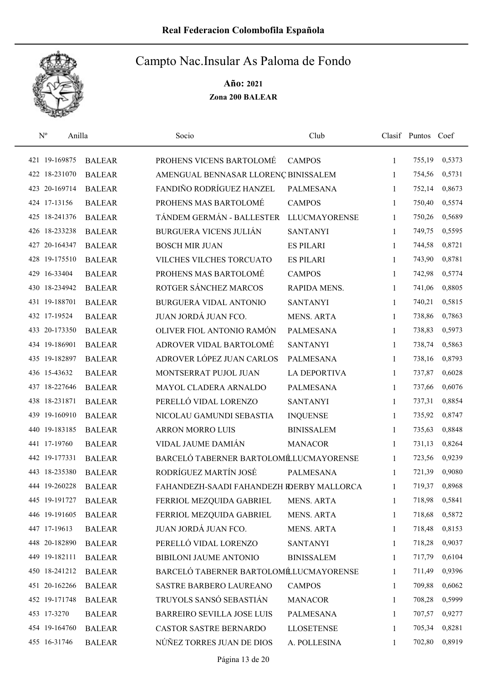

| $\mathbf{N}^{\text{o}}$ | Anilla        | Socio                                     | Club                 |              | Clasif Puntos Coef |        |
|-------------------------|---------------|-------------------------------------------|----------------------|--------------|--------------------|--------|
| 421 19-169875           | <b>BALEAR</b> | PROHENS VICENS BARTOLOMÉ                  | <b>CAMPOS</b>        | $\mathbf{1}$ | 755,19             | 0,5373 |
| 422 18-231070           | <b>BALEAR</b> | AMENGUAL BENNASAR LLORENÇ BINISSALEM      |                      | 1            | 754,56             | 0,5731 |
| 423 20-169714           | <b>BALEAR</b> | FANDIÑO RODRÍGUEZ HANZEL                  | <b>PALMESANA</b>     | 1            | 752,14             | 0,8673 |
| 424 17-13156            | <b>BALEAR</b> | PROHENS MAS BARTOLOMÉ                     | <b>CAMPOS</b>        | $\mathbf{1}$ | 750,40             | 0,5574 |
| 425 18-241376           | <b>BALEAR</b> | TÁNDEM GERMÁN - BALLESTER                 | <b>LLUCMAYORENSE</b> | $\mathbf{1}$ | 750,26             | 0,5689 |
| 426 18-233238           | <b>BALEAR</b> | <b>BURGUERA VICENS JULIÁN</b>             | <b>SANTANYI</b>      | 1            | 749,75             | 0,5595 |
| 427 20-164347           | <b>BALEAR</b> | <b>BOSCH MIR JUAN</b>                     | <b>ES PILARI</b>     | $\mathbf{1}$ | 744,58             | 0,8721 |
| 428 19-175510           | <b>BALEAR</b> | VILCHES VILCHES TORCUATO                  | <b>ES PILARI</b>     | $\mathbf{1}$ | 743,90             | 0,8781 |
| 429 16-33404            | <b>BALEAR</b> | PROHENS MAS BARTOLOMÉ                     | <b>CAMPOS</b>        | 1            | 742,98             | 0,5774 |
| 430 18-234942           | <b>BALEAR</b> | ROTGER SÁNCHEZ MARCOS                     | RAPIDA MENS.         | 1            | 741,06             | 0,8805 |
| 431 19-188701           | <b>BALEAR</b> | <b>BURGUERA VIDAL ANTONIO</b>             | <b>SANTANYI</b>      | 1            | 740,21             | 0,5815 |
| 432 17-19524            | <b>BALEAR</b> | JUAN JORDÁ JUAN FCO.                      | <b>MENS. ARTA</b>    | 1            | 738,86             | 0,7863 |
| 433 20-173350           | <b>BALEAR</b> | OLIVER FIOL ANTONIO RAMÓN                 | <b>PALMESANA</b>     | 1            | 738,83             | 0,5973 |
| 434 19-186901           | <b>BALEAR</b> | ADROVER VIDAL BARTOLOMÉ                   | <b>SANTANYI</b>      | 1            | 738,74             | 0,5863 |
| 435 19-182897           | <b>BALEAR</b> | ADROVER LÓPEZ JUAN CARLOS                 | <b>PALMESANA</b>     | 1            | 738,16             | 0,8793 |
| 436 15-43632            | <b>BALEAR</b> | MONTSERRAT PUJOL JUAN                     | <b>LA DEPORTIVA</b>  | 1            | 737,87             | 0,6028 |
| 437 18-227646           | <b>BALEAR</b> | MAYOL CLADERA ARNALDO                     | <b>PALMESANA</b>     | $\mathbf{1}$ | 737,66             | 0,6076 |
| 438 18-231871           | <b>BALEAR</b> | PERELLÓ VIDAL LORENZO                     | <b>SANTANYI</b>      | 1            | 737,31             | 0,8854 |
| 439 19-160910           | <b>BALEAR</b> | NICOLAU GAMUNDI SEBASTIA                  | <b>INQUENSE</b>      | 1            | 735,92             | 0,8747 |
| 440 19-183185           | <b>BALEAR</b> | ARRON MORRO LUIS                          | <b>BINISSALEM</b>    | $\mathbf{1}$ | 735,63             | 0,8848 |
| 441 17-19760            | <b>BALEAR</b> | VIDAL JAUME DAMIÁN                        | <b>MANACOR</b>       | $\mathbf{1}$ | 731,13             | 0,8264 |
| 442 19-177331           | <b>BALEAR</b> | BARCELÓ TABERNER BARTOLOMÉLUCMAYORENSE    |                      | 1            | 723,56             | 0,9239 |
| 443 18-235380           | <b>BALEAR</b> | RODRÍGUEZ MARTÍN JOSÉ                     | <b>PALMESANA</b>     | 1            | 721,39             | 0,9080 |
| 444 19-260228           | <b>BALEAR</b> | FAHANDEZH-SAADI FAHANDEZH RDERBY MALLORCA |                      | 1            | 719,37             | 0,8968 |
| 445 19-191727           | <b>BALEAR</b> | FERRIOL MEZQUIDA GABRIEL                  | <b>MENS. ARTA</b>    | 1            | 718,98             | 0,5841 |
| 446 19-191605           | <b>BALEAR</b> | FERRIOL MEZQUIDA GABRIEL                  | MENS. ARTA           | 1            | 718,68             | 0,5872 |
| 447 17-19613            | <b>BALEAR</b> | JUAN JORDÁ JUAN FCO.                      | MENS. ARTA           | 1            | 718,48             | 0,8153 |
| 448 20-182890           | <b>BALEAR</b> | PERELLÓ VIDAL LORENZO                     | <b>SANTANYI</b>      | 1            | 718,28             | 0,9037 |
| 449 19-182111           | <b>BALEAR</b> | BIBILONI JAUME ANTONIO                    | <b>BINISSALEM</b>    | 1            | 717,79             | 0,6104 |
| 450 18-241212           | <b>BALEAR</b> | BARCELÓ TABERNER BARTOLOMÉLUCMAYORENSE    |                      | 1            | 711,49             | 0,9396 |
| 451 20-162266           | <b>BALEAR</b> | SASTRE BARBERO LAUREANO                   | <b>CAMPOS</b>        | 1            | 709,88             | 0,6062 |
| 452 19-171748           | <b>BALEAR</b> | TRUYOLS SANSÓ SEBASTIÁN                   | <b>MANACOR</b>       | 1            | 708,28             | 0,5999 |
| 453 17-3270             | <b>BALEAR</b> | <b>BARREIRO SEVILLA JOSE LUIS</b>         | PALMESANA            | 1            | 707,57             | 0,9277 |
| 454 19-164760           | <b>BALEAR</b> | CASTOR SASTRE BERNARDO                    | <b>LLOSETENSE</b>    | 1            | 705,34             | 0,8281 |
| 455 16-31746            | <b>BALEAR</b> | NÚÑEZ TORRES JUAN DE DIOS                 | A. POLLESINA         | 1            | 702,80             | 0,8919 |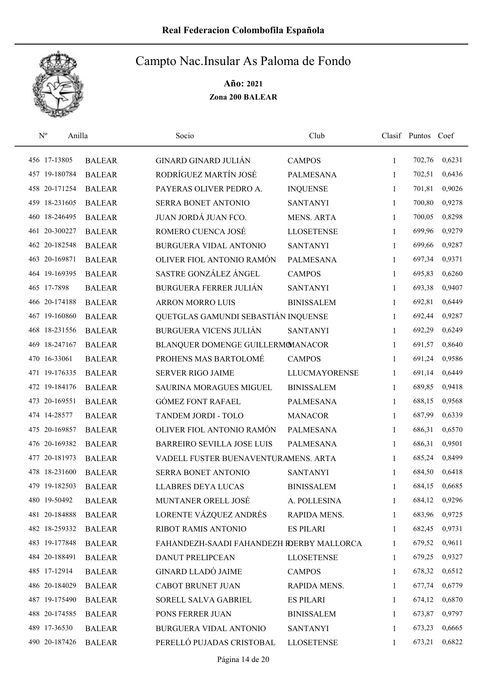

| $\mathbf{N}^{\text{o}}$ | Anilla        | Socio                                     | Club                 |              | Clasif Puntos Coef |        |
|-------------------------|---------------|-------------------------------------------|----------------------|--------------|--------------------|--------|
| 456 17-13805            | <b>BALEAR</b> | <b>GINARD GINARD JULIÁN</b>               | <b>CAMPOS</b>        | $\mathbf{1}$ | 702,76             | 0,6231 |
| 457 19-180784           | <b>BALEAR</b> | RODRÍGUEZ MARTÍN JOSÉ                     | <b>PALMESANA</b>     | 1            | 702,51             | 0,6436 |
| 458 20-171254           | <b>BALEAR</b> | PAYERAS OLIVER PEDRO A.                   | <b>INQUENSE</b>      | 1            | 701,81             | 0,9026 |
| 459 18-231605           | <b>BALEAR</b> | SERRA BONET ANTONIO                       | <b>SANTANYI</b>      | 1            | 700,80             | 0,9278 |
| 460 18-246495           | <b>BALEAR</b> | JUAN JORDÁ JUAN FCO.                      | <b>MENS. ARTA</b>    | 1            | 700,05             | 0,8298 |
| 461 20-300227           | <b>BALEAR</b> | ROMERO CUENCA JOSÉ                        | <b>LLOSETENSE</b>    | $\mathbf{1}$ | 699,96             | 0,9279 |
| 462 20-182548           | <b>BALEAR</b> | BURGUERA VIDAL ANTONIO                    | <b>SANTANYI</b>      | $\mathbf{1}$ | 699,66             | 0,9287 |
| 463 20-169871           | <b>BALEAR</b> | OLIVER FIOL ANTONIO RAMÓN                 | <b>PALMESANA</b>     | $\mathbf{1}$ | 697,34             | 0,9371 |
| 464 19-169395           | <b>BALEAR</b> | SASTRE GONZÁLEZ ÁNGEL                     | <b>CAMPOS</b>        | $\mathbf{1}$ | 695,83             | 0,6260 |
| 465 17-7898             | <b>BALEAR</b> | <b>BURGUERA FERRER JULIÁN</b>             | <b>SANTANYI</b>      | 1            | 693,38             | 0,9407 |
| 466 20-174188           | <b>BALEAR</b> | ARRON MORRO LUIS                          | <b>BINISSALEM</b>    | $\mathbf{1}$ | 692,81             | 0,6449 |
| 467 19-160860           | <b>BALEAR</b> | QUETGLAS GAMUNDI SEBASTIÁN INQUENSE       |                      | $\mathbf{1}$ | 692,44             | 0,9287 |
| 468 18-231556           | <b>BALEAR</b> | <b>BURGUERA VICENS JULIÁN</b>             | <b>SANTANYI</b>      | 1            | 692,29             | 0,6249 |
| 469 18-247167           | <b>BALEAR</b> | BLANQUER DOMENGE GUILLERMOMANACOR         |                      | $\mathbf{1}$ | 691,57             | 0,8640 |
| 470 16-33061            | <b>BALEAR</b> | PROHENS MAS BARTOLOMÉ                     | <b>CAMPOS</b>        | $\mathbf{1}$ | 691,24             | 0,9586 |
| 471 19-176335           | <b>BALEAR</b> | <b>SERVER RIGO JAIME</b>                  | <b>LLUCMAYORENSE</b> | 1            | 691,14             | 0,6449 |
| 472 19-184176           | <b>BALEAR</b> | SAURINA MORAGUES MIGUEL                   | <b>BINISSALEM</b>    | $\mathbf{1}$ | 689,85             | 0,9418 |
| 473 20-169551           | <b>BALEAR</b> | <b>GÓMEZ FONT RAFAEL</b>                  | <b>PALMESANA</b>     | $\mathbf{1}$ | 688,15             | 0,9568 |
| 474 14-28577            | <b>BALEAR</b> | TANDEM JORDI - TOLO                       | <b>MANACOR</b>       | 1            | 687,99             | 0,6339 |
| 475 20-169857           | <b>BALEAR</b> | OLIVER FIOL ANTONIO RAMÓN                 | <b>PALMESANA</b>     | 1            | 686,31             | 0,6570 |
| 476 20-169382           | <b>BALEAR</b> | <b>BARREIRO SEVILLA JOSE LUIS</b>         | <b>PALMESANA</b>     | 1            | 686,31             | 0,9501 |
| 477 20-181973           | <b>BALEAR</b> | VADELL FUSTER BUENAVENTURAMENS. ARTA      |                      | 1            | 685,24             | 0,8499 |
| 478 18-231600           | <b>BALEAR</b> | SERRA BONET ANTONIO                       | <b>SANTANYI</b>      | 1            | 684,50             | 0,6418 |
| 479 19-182503           | <b>BALEAR</b> | <b>LLABRES DEYA LUCAS</b>                 | <b>BINISSALEM</b>    | 1            | 684,15             | 0,6685 |
| 480 19-50492            | <b>BALEAR</b> | MUNTANER ORELL JOSÉ                       | A. POLLESINA         | 1            | 684,12             | 0,9296 |
| 481 20-184888           | <b>BALEAR</b> | LORENTE VÁZQUEZ ANDRÉS                    | RAPIDA MENS.         | 1            | 683,96             | 0,9725 |
| 482 18-259332           | <b>BALEAR</b> | RIBOT RAMIS ANTONIO                       | <b>ES PILARI</b>     | 1            | 682,45             | 0,9731 |
| 483 19-177848           | <b>BALEAR</b> | FAHANDEZH-SAADI FAHANDEZH RDERBY MALLORCA |                      | 1            | 679,52             | 0,9611 |
| 484 20-188491           | <b>BALEAR</b> | DANUT PRELIPCEAN                          | <b>LLOSETENSE</b>    | 1            | 679,25             | 0,9327 |
| 485 17-12914            | <b>BALEAR</b> | <b>GINARD LLADÓ JAIME</b>                 | <b>CAMPOS</b>        | 1            | 678,32             | 0,6512 |
| 486 20-184029           | <b>BALEAR</b> | <b>CABOT BRUNET JUAN</b>                  | RAPIDA MENS.         | 1            | 677,74             | 0,6779 |
| 487 19-175490           | <b>BALEAR</b> | SORELL SALVA GABRIEL                      | <b>ES PILARI</b>     | 1            | 674,12             | 0,6870 |
| 488 20-174585           | <b>BALEAR</b> | PONS FERRER JUAN                          | <b>BINISSALEM</b>    | 1            | 673,87             | 0,9797 |
| 489 17-36530            | <b>BALEAR</b> | BURGUERA VIDAL ANTONIO                    | <b>SANTANYI</b>      | 1            | 673,23             | 0,6665 |
| 490 20-187426           | <b>BALEAR</b> | PERELLÓ PUJADAS CRISTOBAL                 | <b>LLOSETENSE</b>    | 1            | 673,21             | 0,6822 |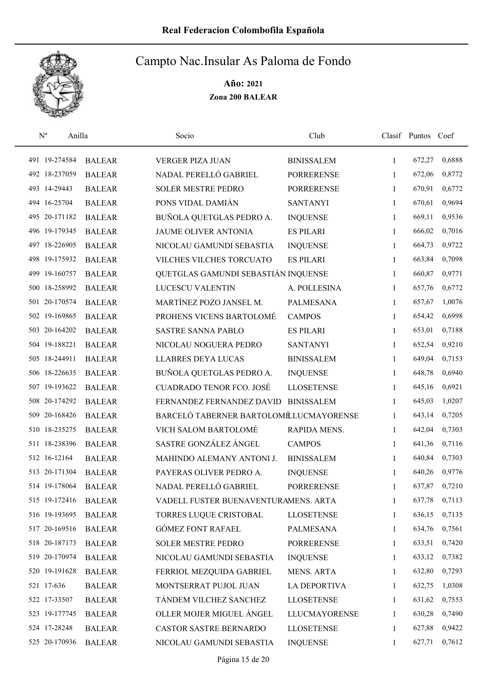

| $\mathbf{N}^{\text{o}}$ | Anilla |               | Socio                                  | Club                 |              | Clasif Puntos Coef |        |
|-------------------------|--------|---------------|----------------------------------------|----------------------|--------------|--------------------|--------|
| 491 19-274584           |        | <b>BALEAR</b> | VERGER PIZA JUAN                       | <b>BINISSALEM</b>    | 1            | 672,27             | 0,6888 |
| 492 18-237059           |        | <b>BALEAR</b> | NADAL PERELLÓ GABRIEL                  | <b>PORRERENSE</b>    | 1            | 672,06             | 0,8772 |
| 493 14-29443            |        | <b>BALEAR</b> | <b>SOLER MESTRE PEDRO</b>              | <b>PORRERENSE</b>    | $\mathbf{1}$ | 670,91             | 0,6772 |
| 494 16-25704            |        | <b>BALEAR</b> | PONS VIDAL DAMIÁN                      | <b>SANTANYI</b>      | 1            | 670,61             | 0,9694 |
| 495 20-171182           |        | <b>BALEAR</b> | BUÑOLA QUETGLAS PEDRO A.               | <b>INQUENSE</b>      | 1            | 669,11             | 0,9536 |
| 496 19-179345           |        | <b>BALEAR</b> | JAUME OLIVER ANTONIA                   | <b>ES PILARI</b>     | $\mathbf{1}$ | 666,02             | 0,7016 |
| 497 18-226905           |        | <b>BALEAR</b> | NICOLAU GAMUNDI SEBASTIA               | <b>INQUENSE</b>      | 1            | 664,73             | 0,9722 |
| 498 19-175932           |        | <b>BALEAR</b> | VILCHES VILCHES TORCUATO               | <b>ES PILARI</b>     | 1            | 663,84             | 0,7098 |
| 499 19-160757           |        | <b>BALEAR</b> | QUETGLAS GAMUNDI SEBASTIÁN INQUENSE    |                      | 1            | 660,87             | 0,9771 |
| 500 18-258992           |        | <b>BALEAR</b> | LUCESCU VALENTIN                       | A. POLLESINA         | 1            | 657,76             | 0,6772 |
| 501 20-170574           |        | <b>BALEAR</b> | MARTÍNEZ POZO JANSEL M.                | <b>PALMESANA</b>     | 1            | 657,67             | 1,0076 |
| 502 19-169865           |        | <b>BALEAR</b> | PROHENS VICENS BARTOLOMÉ               | <b>CAMPOS</b>        | 1            | 654,42             | 0,6998 |
| 503 20-164202           |        | <b>BALEAR</b> | <b>SASTRE SANNA PABLO</b>              | <b>ES PILARI</b>     | 1            | 653,01             | 0,7188 |
| 504 19-188221           |        | <b>BALEAR</b> | NICOLAU NOGUERA PEDRO                  | <b>SANTANYI</b>      | 1            | 652,54             | 0,9210 |
| 505 18-244911           |        | <b>BALEAR</b> | <b>LLABRES DEYA LUCAS</b>              | <b>BINISSALEM</b>    | 1            | 649,04             | 0,7153 |
| 506 18-226635           |        | <b>BALEAR</b> | BUÑOLA QUETGLAS PEDRO A.               | <b>INQUENSE</b>      | 1            | 648,78             | 0,6940 |
| 507 19-193622           |        | <b>BALEAR</b> | <b>CUADRADO TENOR FCO. JOSÉ</b>        | <b>LLOSETENSE</b>    | 1            | 645,16             | 0,6921 |
| 508 20-174292           |        | <b>BALEAR</b> | FERNANDEZ FERNANDEZ DAVID              | <b>BINISSALEM</b>    | 1            | 645,03             | 1,0207 |
| 509 20-168426           |        | <b>BALEAR</b> | BARCELÓ TABERNER BARTOLOMÉLUCMAYORENSE |                      | 1            | 643,14             | 0,7205 |
| 510 18-235275           |        | <b>BALEAR</b> | VICH SALOM BARTOLOMÉ                   | RAPIDA MENS.         | $\mathbf{1}$ | 642,04             | 0,7303 |
| 511 18-238396           |        | <b>BALEAR</b> | SASTRE GONZÁLEZ ÁNGEL                  | <b>CAMPOS</b>        | $\mathbf{1}$ | 641,36             | 0,7116 |
| 512 16-12164            |        | <b>BALEAR</b> | MAHINDO ALEMANY ANTONI J.              | <b>BINISSALEM</b>    | 1            | 640,84             | 0,7303 |
| 513 20-171304           |        | <b>BALEAR</b> | PAYERAS OLIVER PEDRO A.                | <b>INQUENSE</b>      | 1            | 640,26             | 0,9776 |
| 514 19-178064           |        | <b>BALEAR</b> | NADAL PERELLÓ GABRIEL                  | <b>PORRERENSE</b>    | 1            | 637,87             | 0,7210 |
| 515 19-172416           |        | <b>BALEAR</b> | VADELL FUSTER BUENAVENTURAMENS. ARTA   |                      | 1            | 637,78             | 0,7113 |
| 516 19-193695           |        | <b>BALEAR</b> | TORRES LUQUE CRISTOBAL                 | <b>LLOSETENSE</b>    | 1            | 636,15             | 0,7135 |
| 517 20-169516           |        | <b>BALEAR</b> | <b>GÓMEZ FONT RAFAEL</b>               | PALMESANA            | 1            | 634,76             | 0,7561 |
| 518 20-187173           |        | <b>BALEAR</b> | SOLER MESTRE PEDRO                     | PORRERENSE           | 1            | 633,51             | 0,7420 |
| 519 20-170974           |        | <b>BALEAR</b> | NICOLAU GAMUNDI SEBASTIA               | <b>INQUENSE</b>      | 1            | 633,12             | 0,7382 |
| 520 19-191628           |        | <b>BALEAR</b> | FERRIOL MEZQUIDA GABRIEL               | MENS. ARTA           | 1            | 632,80             | 0,7293 |
| 521 17-636              |        | <b>BALEAR</b> | MONTSERRAT PUJOL JUAN                  | LA DEPORTIVA         | 1            | 632,75             | 1,0308 |
| 522 17-33507            |        | <b>BALEAR</b> | TÁNDEM VILCHEZ SANCHEZ                 | <b>LLOSETENSE</b>    | 1            | 631,62             | 0,7553 |
| 523 19-177745           |        | <b>BALEAR</b> | OLLER MOJER MIGUEL ÁNGEL               | <b>LLUCMAYORENSE</b> | 1            | 630,28             | 0,7490 |
| 524 17-28248            |        | <b>BALEAR</b> | CASTOR SASTRE BERNARDO                 | <b>LLOSETENSE</b>    | 1            | 627,88             | 0,9422 |
| 525 20-170936           |        | <b>BALEAR</b> | NICOLAU GAMUNDI SEBASTIA               | <b>INQUENSE</b>      | 1            | 627,71             | 0,7612 |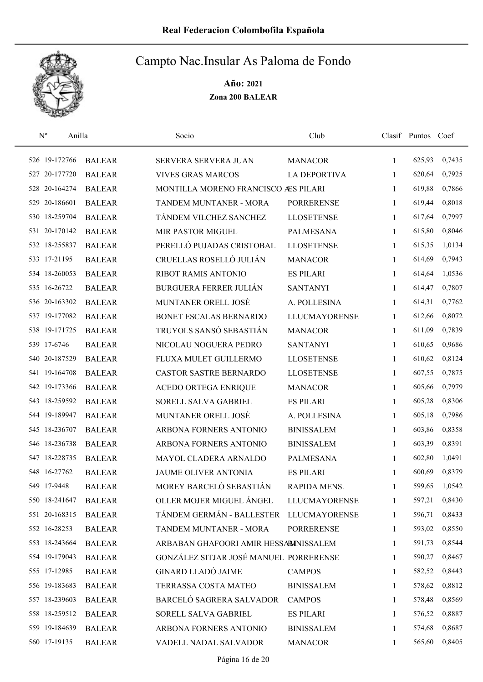

| $\rm N^o$     | Anilla    |               | Socio                                  | Club                 |              | Clasif Puntos Coef |        |
|---------------|-----------|---------------|----------------------------------------|----------------------|--------------|--------------------|--------|
| 526 19-172766 |           | <b>BALEAR</b> | SERVERA SERVERA JUAN                   | <b>MANACOR</b>       | 1            | 625,93             | 0,7435 |
| 527 20-177720 |           | <b>BALEAR</b> | <b>VIVES GRAS MARCOS</b>               | <b>LA DEPORTIVA</b>  | 1            | 620,64             | 0,7925 |
| 528 20-164274 |           | <b>BALEAR</b> | MONTILLA MORENO FRANCISCO ÆS PILARI    |                      | 1            | 619,88             | 0,7866 |
| 529           | 20-186601 | <b>BALEAR</b> | TANDEM MUNTANER - MORA                 | <b>PORRERENSE</b>    | 1            | 619,44             | 0,8018 |
| 530 18-259704 |           | <b>BALEAR</b> | TÁNDEM VILCHEZ SANCHEZ                 | <b>LLOSETENSE</b>    | 1            | 617,64             | 0,7997 |
| 531 20-170142 |           | <b>BALEAR</b> | <b>MIR PASTOR MIGUEL</b>               | <b>PALMESANA</b>     | 1            | 615,80             | 0,8046 |
| 532 18-255837 |           | <b>BALEAR</b> | PERELLÓ PUJADAS CRISTOBAL              | <b>LLOSETENSE</b>    | 1            | 615,35             | 1,0134 |
| 533 17-21195  |           | <b>BALEAR</b> | CRUELLAS ROSELLÓ JULIÁN                | <b>MANACOR</b>       | 1            | 614,69             | 0,7943 |
| 534 18-260053 |           | <b>BALEAR</b> | RIBOT RAMIS ANTONIO                    | <b>ES PILARI</b>     | 1            | 614,64             | 1,0536 |
| 535 16-26722  |           | <b>BALEAR</b> | <b>BURGUERA FERRER JULIÁN</b>          | <b>SANTANYI</b>      | 1            | 614,47             | 0,7807 |
| 536 20-163302 |           | <b>BALEAR</b> | MUNTANER ORELL JOSÉ                    | A. POLLESINA         | 1            | 614,31             | 0,7762 |
| 537 19-177082 |           | <b>BALEAR</b> | BONET ESCALAS BERNARDO                 | <b>LLUCMAYORENSE</b> | 1            | 612,66             | 0,8072 |
| 538 19-171725 |           | <b>BALEAR</b> | TRUYOLS SANSÓ SEBASTIÁN                | <b>MANACOR</b>       | 1            | 611,09             | 0,7839 |
| 539 17-6746   |           | <b>BALEAR</b> | NICOLAU NOGUERA PEDRO                  | <b>SANTANYI</b>      | 1            | 610,65             | 0,9686 |
| 540 20-187529 |           | <b>BALEAR</b> | FLUXA MULET GUILLERMO                  | <b>LLOSETENSE</b>    | 1            | 610,62             | 0,8124 |
| 541 19-164708 |           | <b>BALEAR</b> | CASTOR SASTRE BERNARDO                 | <b>LLOSETENSE</b>    | 1            | 607,55             | 0,7875 |
| 542 19-173366 |           | <b>BALEAR</b> | <b>ACEDO ORTEGA ENRIQUE</b>            | <b>MANACOR</b>       | 1            | 605,66             | 0,7979 |
| 543 18-259592 |           | <b>BALEAR</b> | SORELL SALVA GABRIEL                   | <b>ES PILARI</b>     | 1            | 605,28             | 0,8306 |
| 544 19-189947 |           | <b>BALEAR</b> | MUNTANER ORELL JOSÉ                    | A. POLLESINA         | 1            | 605,18             | 0,7986 |
| 545 18-236707 |           | <b>BALEAR</b> | ARBONA FORNERS ANTONIO                 | <b>BINISSALEM</b>    | 1            | 603,86             | 0,8358 |
| 546 18-236738 |           | <b>BALEAR</b> | ARBONA FORNERS ANTONIO                 | <b>BINISSALEM</b>    | 1            | 603,39             | 0,8391 |
| 547 18-228735 |           | <b>BALEAR</b> | MAYOL CLADERA ARNALDO                  | <b>PALMESANA</b>     | 1            | 602,80             | 1,0491 |
| 548 16-27762  |           | <b>BALEAR</b> | <b>JAUME OLIVER ANTONIA</b>            | <b>ES PILARI</b>     | 1            | 600,69             | 0,8379 |
| 549 17-9448   |           | <b>BALEAR</b> | MOREY BARCELÓ SEBASTIÁN                | RAPIDA MENS.         | 1            | 599,65             | 1,0542 |
| 550 18-241647 |           | <b>BALEAR</b> | OLLER MOJER MIGUEL ÁNGEL               | <b>LLUCMAYORENSE</b> | 1            | 597,21             | 0,8430 |
| 551 20-168315 |           | <b>BALEAR</b> | TÁNDEM GERMÁN - BALLESTER              | <b>LLUCMAYORENSE</b> | 1            | 596,71             | 0,8433 |
| 552 16-28253  |           | <b>BALEAR</b> | TANDEM MUNTANER - MORA                 | <b>PORRERENSE</b>    | 1            | 593,02             | 0,8550 |
| 553 18-243664 |           | <b>BALEAR</b> | ARBABAN GHAFOORI AMIR HESSABINISSALEM  |                      | 1            | 591,73             | 0,8544 |
| 554 19-179043 |           | <b>BALEAR</b> | GONZÁLEZ SITJAR JOSÉ MANUEL PORRERENSE |                      | 1            | 590,27             | 0,8467 |
| 555 17-12985  |           | <b>BALEAR</b> | <b>GINARD LLADÓ JAIME</b>              | <b>CAMPOS</b>        | $\mathbf{1}$ | 582,52             | 0,8443 |
| 556 19-183683 |           | <b>BALEAR</b> | TERRASSA COSTA MATEO                   | <b>BINISSALEM</b>    | 1            | 578,62             | 0,8812 |
| 557 18-239603 |           | <b>BALEAR</b> | BARCELÓ SAGRERA SALVADOR               | <b>CAMPOS</b>        | 1            | 578,48             | 0,8569 |
| 558 18-259512 |           | <b>BALEAR</b> | SORELL SALVA GABRIEL                   | <b>ES PILARI</b>     | 1            | 576,52             | 0,8887 |
| 559 19-184639 |           | <b>BALEAR</b> | ARBONA FORNERS ANTONIO                 | <b>BINISSALEM</b>    | 1            | 574,68             | 0,8687 |
| 560 17-19135  |           | <b>BALEAR</b> | VADELL NADAL SALVADOR                  | <b>MANACOR</b>       | 1            | 565,60             | 0,8405 |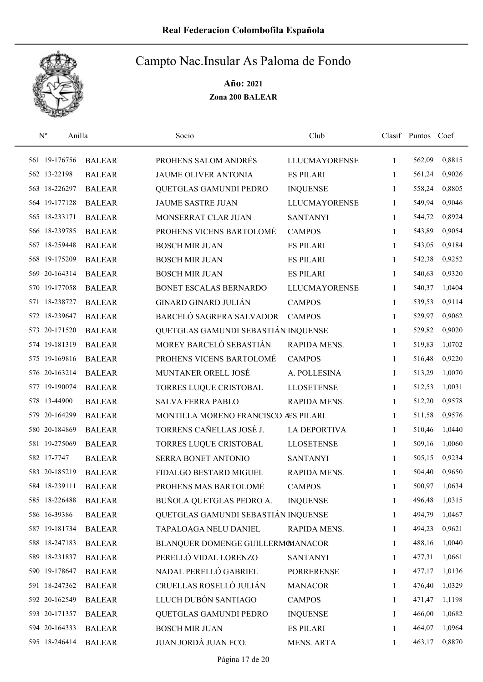

| $\mathbf{N}^{\text{o}}$ | Anilla |               | Socio                                | Club                 |              | Clasif Puntos Coef |        |
|-------------------------|--------|---------------|--------------------------------------|----------------------|--------------|--------------------|--------|
| 561 19-176756           |        | <b>BALEAR</b> | PROHENS SALOM ANDRÉS                 | <b>LLUCMAYORENSE</b> | 1            | 562,09             | 0,8815 |
| 562 13-22198            |        | <b>BALEAR</b> | <b>JAUME OLIVER ANTONIA</b>          | <b>ES PILARI</b>     | 1            | 561,24             | 0,9026 |
| 563 18-226297           |        | <b>BALEAR</b> | QUETGLAS GAMUNDI PEDRO               | <b>INQUENSE</b>      | 1            | 558,24             | 0,8805 |
| 564 19-177128           |        | <b>BALEAR</b> | <b>JAUME SASTRE JUAN</b>             | <b>LLUCMAYORENSE</b> | 1            | 549,94             | 0,9046 |
| 565 18-233171           |        | <b>BALEAR</b> | MONSERRAT CLAR JUAN                  | <b>SANTANYI</b>      | $\mathbf{1}$ | 544,72             | 0,8924 |
| 566 18-239785           |        | <b>BALEAR</b> | PROHENS VICENS BARTOLOMÉ             | <b>CAMPOS</b>        | $\mathbf{1}$ | 543,89             | 0,9054 |
| 567 18-259448           |        | <b>BALEAR</b> | <b>BOSCH MIR JUAN</b>                | <b>ES PILARI</b>     | $\mathbf{1}$ | 543,05             | 0,9184 |
| 568 19-175209           |        | <b>BALEAR</b> | <b>BOSCH MIR JUAN</b>                | <b>ES PILARI</b>     | $\mathbf{1}$ | 542,38             | 0,9252 |
| 569 20-164314           |        | <b>BALEAR</b> | <b>BOSCH MIR JUAN</b>                | <b>ES PILARI</b>     | 1            | 540,63             | 0,9320 |
| 570 19-177058           |        | <b>BALEAR</b> | BONET ESCALAS BERNARDO               | <b>LLUCMAYORENSE</b> | 1            | 540,37             | 1,0404 |
| 571 18-238727           |        | <b>BALEAR</b> | <b>GINARD GINARD JULIÁN</b>          | <b>CAMPOS</b>        | 1            | 539,53             | 0,9114 |
| 572 18-239647           |        | <b>BALEAR</b> | BARCELÓ SAGRERA SALVADOR             | <b>CAMPOS</b>        | 1            | 529,97             | 0,9062 |
| 573 20-171520           |        | <b>BALEAR</b> | QUETGLAS GAMUNDI SEBASTIÁN INQUENSE  |                      | 1            | 529,82             | 0,9020 |
| 574 19-181319           |        | <b>BALEAR</b> | MOREY BARCELÓ SEBASTIÁN              | RAPIDA MENS.         | $\mathbf{1}$ | 519,83             | 1,0702 |
| 575 19-169816           |        | <b>BALEAR</b> | PROHENS VICENS BARTOLOMÉ             | <b>CAMPOS</b>        | $\mathbf{1}$ | 516,48             | 0,9220 |
| 576 20-163214           |        | <b>BALEAR</b> | MUNTANER ORELL JOSÉ                  | A. POLLESINA         | 1            | 513,29             | 1,0070 |
| 577 19-190074           |        | <b>BALEAR</b> | TORRES LUQUE CRISTOBAL               | <b>LLOSETENSE</b>    | $\mathbf{1}$ | 512,53             | 1,0031 |
| 578 13-44900            |        | <b>BALEAR</b> | <b>SALVA FERRA PABLO</b>             | RAPIDA MENS.         | $\mathbf{1}$ | 512,20             | 0,9578 |
| 579 20-164299           |        | <b>BALEAR</b> | MONTILLA MORENO FRANCISCO AES PILARI |                      | 1            | 511,58             | 0,9576 |
| 580 20-184869           |        | <b>BALEAR</b> | TORRENS CAÑELLAS JOSÉ J.             | <b>LA DEPORTIVA</b>  | $\mathbf{1}$ | 510,46             | 1,0440 |
| 581 19-275069           |        | <b>BALEAR</b> | TORRES LUQUE CRISTOBAL               | <b>LLOSETENSE</b>    | $\mathbf{1}$ | 509,16             | 1,0060 |
| 582 17-7747             |        | <b>BALEAR</b> | SERRA BONET ANTONIO                  | <b>SANTANYI</b>      | 1            | 505,15             | 0,9234 |
| 583 20-185219           |        | <b>BALEAR</b> | FIDALGO BESTARD MIGUEL               | RAPIDA MENS.         | 1            | 504,40             | 0,9650 |
| 584 18-239111           |        | <b>BALEAR</b> | PROHENS MAS BARTOLOMÉ                | <b>CAMPOS</b>        | 1            | 500,97             | 1,0634 |
| 585 18-226488           |        | <b>BALEAR</b> | BUÑOLA QUETGLAS PEDRO A.             | <b>INQUENSE</b>      | 1            | 496,48             | 1,0315 |
| 586 16-39386            |        | <b>BALEAR</b> | QUETGLAS GAMUNDI SEBASTIÁN INQUENSE  |                      | 1            | 494,79             | 1,0467 |
| 587 19-181734           |        | <b>BALEAR</b> | TAPALOAGA NELU DANIEL                | RAPIDA MENS.         | 1            | 494,23             | 0,9621 |
| 588 18-247183           |        | <b>BALEAR</b> | BLANQUER DOMENGE GUILLERMOMANACOR    |                      | 1            | 488,16             | 1,0040 |
| 589 18-231837           |        | <b>BALEAR</b> | PERELLÓ VIDAL LORENZO                | <b>SANTANYI</b>      | 1            | 477,31             | 1,0661 |
| 590 19-178647           |        | <b>BALEAR</b> | NADAL PERELLÓ GABRIEL                | <b>PORRERENSE</b>    | 1            | 477,17             | 1,0136 |
| 591 18-247362           |        | <b>BALEAR</b> | CRUELLAS ROSELLÓ JULIÁN              | <b>MANACOR</b>       | 1            | 476,40             | 1,0329 |
| 592 20-162549           |        | <b>BALEAR</b> | LLUCH DUBÓN SANTIAGO                 | <b>CAMPOS</b>        | 1            | 471,47             | 1,1198 |
| 593 20-171357           |        | <b>BALEAR</b> | QUETGLAS GAMUNDI PEDRO               | <b>INQUENSE</b>      | 1            | 466,00             | 1,0682 |
| 594 20-164333           |        | <b>BALEAR</b> | <b>BOSCH MIR JUAN</b>                | <b>ES PILARI</b>     | 1            | 464,07             | 1,0964 |
| 595 18-246414           |        | <b>BALEAR</b> | JUAN JORDÁ JUAN FCO.                 | MENS. ARTA           | 1            | 463,17             | 0,8870 |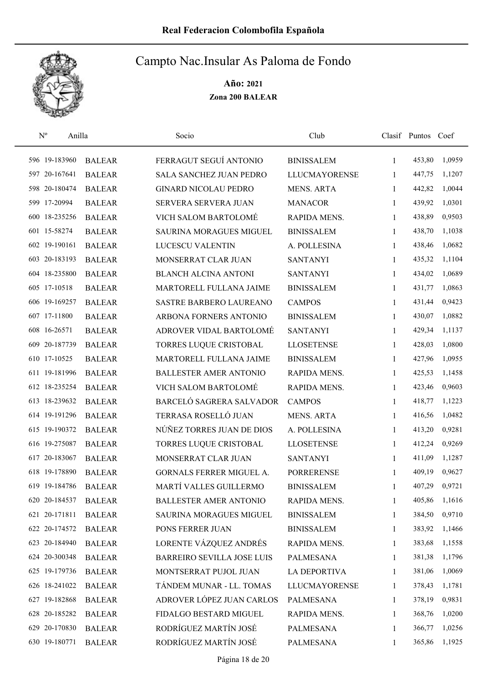

| $\mathbf{N}^{\text{o}}$ | Anilla        | Socio                          | Club                 |              | Clasif Puntos Coef |        |
|-------------------------|---------------|--------------------------------|----------------------|--------------|--------------------|--------|
| 596 19-183960           | <b>BALEAR</b> | FERRAGUT SEGUÍ ANTONIO         | <b>BINISSALEM</b>    | 1            | 453,80             | 1,0959 |
| 597 20-167641           | <b>BALEAR</b> | SALA SANCHEZ JUAN PEDRO        | <b>LLUCMAYORENSE</b> | 1            | 447,75             | 1,1207 |
| 598 20-180474           | <b>BALEAR</b> | <b>GINARD NICOLAU PEDRO</b>    | <b>MENS. ARTA</b>    | $\mathbf{1}$ | 442,82             | 1,0044 |
| 599 17-20994            | <b>BALEAR</b> | SERVERA SERVERA JUAN           | <b>MANACOR</b>       | 1            | 439,92             | 1,0301 |
| 600 18-235256           | <b>BALEAR</b> | VICH SALOM BARTOLOMÉ           | RAPIDA MENS.         | 1            | 438,89             | 0,9503 |
| 601 15-58274            | <b>BALEAR</b> | <b>SAURINA MORAGUES MIGUEL</b> | <b>BINISSALEM</b>    | $\mathbf{1}$ | 438,70             | 1,1038 |
| 602 19-190161           | <b>BALEAR</b> | LUCESCU VALENTIN               | A. POLLESINA         | $\mathbf{1}$ | 438,46             | 1,0682 |
| 603 20-183193           | <b>BALEAR</b> | MONSERRAT CLAR JUAN            | <b>SANTANYI</b>      | 1            | 435,32             | 1,1104 |
| 604 18-235800           | <b>BALEAR</b> | <b>BLANCH ALCINA ANTONI</b>    | <b>SANTANYI</b>      | 1            | 434,02             | 1,0689 |
| 605 17-10518            | <b>BALEAR</b> | MARTORELL FULLANA JAIME        | <b>BINISSALEM</b>    | 1            | 431,77             | 1,0863 |
| 606 19-169257           | <b>BALEAR</b> | <b>SASTRE BARBERO LAUREANO</b> | <b>CAMPOS</b>        | $\mathbf{1}$ | 431,44             | 0,9423 |
| 607 17-11800            | <b>BALEAR</b> | ARBONA FORNERS ANTONIO         | <b>BINISSALEM</b>    | 1            | 430,07             | 1,0882 |
| 608 16-26571            | <b>BALEAR</b> | ADROVER VIDAL BARTOLOMÉ        | <b>SANTANYI</b>      | 1            | 429,34             | 1,1137 |
| 609 20-187739           | <b>BALEAR</b> | TORRES LUQUE CRISTOBAL         | <b>LLOSETENSE</b>    | $\mathbf{1}$ | 428,03             | 1,0800 |
| 610 17-10525            | <b>BALEAR</b> | MARTORELL FULLANA JAIME        | <b>BINISSALEM</b>    | $\mathbf{1}$ | 427,96             | 1,0955 |
| 611 19-181996           | <b>BALEAR</b> | <b>BALLESTER AMER ANTONIO</b>  | RAPIDA MENS.         | 1            | 425,53             | 1,1458 |
| 612 18-235254           | <b>BALEAR</b> | VICH SALOM BARTOLOMÉ           | RAPIDA MENS.         | $\mathbf{1}$ | 423,46             | 0,9603 |
| 613 18-239632           | <b>BALEAR</b> | BARCELÓ SAGRERA SALVADOR       | <b>CAMPOS</b>        | $\mathbf{1}$ | 418,77             | 1,1223 |
| 614 19-191296           | <b>BALEAR</b> | TERRASA ROSELLÓ JUAN           | <b>MENS. ARTA</b>    | 1            | 416,56             | 1,0482 |
| 615 19-190372           | <b>BALEAR</b> | NÚÑEZ TORRES JUAN DE DIOS      | A. POLLESINA         | $\mathbf{1}$ | 413,20             | 0,9281 |
| 616 19-275087           | <b>BALEAR</b> | TORRES LUQUE CRISTOBAL         | <b>LLOSETENSE</b>    | 1            | 412,24             | 0,9269 |
| 617 20-183067           | <b>BALEAR</b> | MONSERRAT CLAR JUAN            | <b>SANTANYI</b>      | 1            | 411,09             | 1,1287 |
| 618 19-178890           | <b>BALEAR</b> | GORNALS FERRER MIGUEL A.       | <b>PORRERENSE</b>    | 1            | 409,19             | 0,9627 |
| 619 19-184786           | <b>BALEAR</b> | MARTÍ VALLES GUILLERMO         | <b>BINISSALEM</b>    | 1            | 407,29             | 0,9721 |
| 620 20-184537           | <b>BALEAR</b> | <b>BALLESTER AMER ANTONIO</b>  | RAPIDA MENS.         | 1            | 405,86             | 1,1616 |
| 621 20-171811           | <b>BALEAR</b> | <b>SAURINA MORAGUES MIGUEL</b> | <b>BINISSALEM</b>    | 1            | 384,50             | 0,9710 |
| 622 20-174572           | <b>BALEAR</b> | PONS FERRER JUAN               | <b>BINISSALEM</b>    | 1            | 383,92             | 1,1466 |
| 623 20-184940           | <b>BALEAR</b> | LORENTE VÁZQUEZ ANDRÉS         | RAPIDA MENS.         | 1            | 383,68             | 1,1558 |
| 624 20-300348           | <b>BALEAR</b> | BARREIRO SEVILLA JOSE LUIS     | PALMESANA            | 1            | 381,38             | 1,1796 |
| 625 19-179736           | <b>BALEAR</b> | MONTSERRAT PUJOL JUAN          | <b>LA DEPORTIVA</b>  | 1            | 381,06             | 1,0069 |
| 626 18-241022           | <b>BALEAR</b> | TÁNDEM MUNAR - LL. TOMAS       | <b>LLUCMAYORENSE</b> | 1            | 378,43             | 1,1781 |
| 627 19-182868           | <b>BALEAR</b> | ADROVER LÓPEZ JUAN CARLOS      | PALMESANA            | 1            | 378,19             | 0,9831 |
| 628 20-185282           | <b>BALEAR</b> | FIDALGO BESTARD MIGUEL         | RAPIDA MENS.         | 1            | 368,76             | 1,0200 |
| 629 20-170830           | <b>BALEAR</b> | RODRÍGUEZ MARTÍN JOSÉ          | <b>PALMESANA</b>     | 1            | 366,77             | 1,0256 |
| 630 19-180771           | <b>BALEAR</b> | RODRÍGUEZ MARTÍN JOSÉ          | <b>PALMESANA</b>     | 1            | 365,86             | 1,1925 |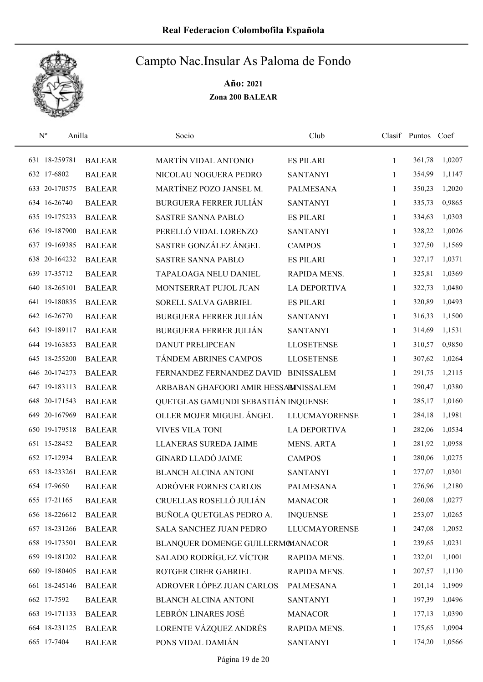

| $\mathbf{N}^{\text{o}}$ | Anilla |               | Socio                                 | Club                 |              | Clasif Puntos Coef |        |
|-------------------------|--------|---------------|---------------------------------------|----------------------|--------------|--------------------|--------|
| 631 18-259781           |        | <b>BALEAR</b> | MARTÍN VIDAL ANTONIO                  | <b>ES PILARI</b>     | $\mathbf{1}$ | 361,78             | 1,0207 |
| 632 17-6802             |        | <b>BALEAR</b> | NICOLAU NOGUERA PEDRO                 | <b>SANTANYI</b>      | 1            | 354,99             | 1,1147 |
| 633 20-170575           |        | <b>BALEAR</b> | MARTÍNEZ POZO JANSEL M.               | PALMESANA            | $\mathbf{1}$ | 350,23             | 1,2020 |
| 634 16-26740            |        | <b>BALEAR</b> | <b>BURGUERA FERRER JULIÁN</b>         | <b>SANTANYI</b>      | 1            | 335,73             | 0,9865 |
| 635 19-175233           |        | <b>BALEAR</b> | <b>SASTRE SANNA PABLO</b>             | <b>ES PILARI</b>     | 1            | 334,63             | 1,0303 |
| 636 19-187900           |        | <b>BALEAR</b> | PERELLÓ VIDAL LORENZO                 | <b>SANTANYI</b>      | 1            | 328,22             | 1,0026 |
| 637 19-169385           |        | <b>BALEAR</b> | SASTRE GONZÁLEZ ÁNGEL                 | <b>CAMPOS</b>        | 1            | 327,50             | 1,1569 |
| 638 20-164232           |        | <b>BALEAR</b> | <b>SASTRE SANNA PABLO</b>             | <b>ES PILARI</b>     | 1            | 327,17             | 1,0371 |
| 639 17-35712            |        | <b>BALEAR</b> | TAPALOAGA NELU DANIEL                 | RAPIDA MENS.         | 1            | 325,81             | 1,0369 |
| 640 18-265101           |        | <b>BALEAR</b> | MONTSERRAT PUJOL JUAN                 | <b>LA DEPORTIVA</b>  | 1            | 322,73             | 1,0480 |
| 641 19-180835           |        | <b>BALEAR</b> | SORELL SALVA GABRIEL                  | <b>ES PILARI</b>     | 1            | 320,89             | 1,0493 |
| 642 16-26770            |        | <b>BALEAR</b> | <b>BURGUERA FERRER JULIÁN</b>         | <b>SANTANYI</b>      | 1            | 316,33             | 1,1500 |
| 643 19-189117           |        | <b>BALEAR</b> | <b>BURGUERA FERRER JULIÁN</b>         | <b>SANTANYI</b>      | 1            | 314,69             | 1,1531 |
| 644 19-163853           |        | <b>BALEAR</b> | <b>DANUT PRELIPCEAN</b>               | <b>LLOSETENSE</b>    | $\mathbf{1}$ | 310,57             | 0,9850 |
| 645 18-255200           |        | <b>BALEAR</b> | TÁNDEM ABRINES CAMPOS                 | <b>LLOSETENSE</b>    | 1            | 307,62             | 1,0264 |
| 646 20-174273           |        | <b>BALEAR</b> | FERNANDEZ FERNANDEZ DAVID             | <b>BINISSALEM</b>    | 1            | 291,75             | 1,2115 |
| 647 19-183113           |        | <b>BALEAR</b> | ARBABAN GHAFOORI AMIR HESSABINISSALEM |                      | 1            | 290,47             | 1,0380 |
| 648 20-171543           |        | <b>BALEAR</b> | QUETGLAS GAMUNDI SEBASTIÁN INQUENSE   |                      | $\mathbf{1}$ | 285,17             | 1,0160 |
| 649 20-167969           |        | <b>BALEAR</b> | OLLER MOJER MIGUEL ÁNGEL              | <b>LLUCMAYORENSE</b> | $\mathbf{1}$ | 284,18             | 1,1981 |
| 650 19-179518           |        | <b>BALEAR</b> | <b>VIVES VILA TONI</b>                | <b>LA DEPORTIVA</b>  | 1            | 282,06             | 1,0534 |
| 651 15-28452            |        | <b>BALEAR</b> | LLANERAS SUREDA JAIME                 | <b>MENS. ARTA</b>    | $\mathbf{1}$ | 281,92             | 1,0958 |
| 652 17-12934            |        | <b>BALEAR</b> | <b>GINARD LLADÓ JAIME</b>             | <b>CAMPOS</b>        | 1            | 280,06             | 1,0275 |
| 653 18-233261           |        | <b>BALEAR</b> | <b>BLANCH ALCINA ANTONI</b>           | <b>SANTANYI</b>      | 1            | 277,07             | 1,0301 |
| 654 17-9650             |        | <b>BALEAR</b> | ADRÓVER FORNES CARLOS                 | <b>PALMESANA</b>     | 1            | 276,96             | 1,2180 |
| 655 17-21165            |        | <b>BALEAR</b> | CRUELLAS ROSELLÓ JULIÁN               | <b>MANACOR</b>       | 1            | 260,08             | 1,0277 |
| 656 18-226612           |        | <b>BALEAR</b> | BUÑOLA QUETGLAS PEDRO A.              | <b>INQUENSE</b>      | 1            | 253,07             | 1,0265 |
| 657 18-231266           |        | <b>BALEAR</b> | <b>SALA SANCHEZ JUAN PEDRO</b>        | <b>LLUCMAYORENSE</b> | 1            | 247,08             | 1,2052 |
| 658 19-173501           |        | <b>BALEAR</b> | BLANQUER DOMENGE GUILLERMOMANACOR     |                      | 1            | 239,65             | 1,0231 |
| 659 19-181202           |        | <b>BALEAR</b> | SALADO RODRÍGUEZ VÍCTOR               | RAPIDA MENS.         | 1            | 232,01             | 1,1001 |
| 660 19-180405           |        | <b>BALEAR</b> | ROTGER CIRER GABRIEL                  | RAPIDA MENS.         | 1            | 207,57             | 1,1130 |
| 661 18-245146           |        | <b>BALEAR</b> | ADROVER LÓPEZ JUAN CARLOS             | PALMESANA            | 1            | 201,14             | 1,1909 |
| 662 17-7592             |        | <b>BALEAR</b> | <b>BLANCH ALCINA ANTONI</b>           | <b>SANTANYI</b>      | 1            | 197,39             | 1,0496 |
| 663 19-171133           |        | <b>BALEAR</b> | LEBRÓN LINARES JOSÉ                   | <b>MANACOR</b>       | 1            | 177,13             | 1,0390 |
| 664 18-231125           |        | <b>BALEAR</b> | LORENTE VÁZQUEZ ANDRÉS                | RAPIDA MENS.         | 1            | 175,65             | 1,0904 |
| 665 17-7404             |        | <b>BALEAR</b> | PONS VIDAL DAMIÁN                     | <b>SANTANYI</b>      | 1            | 174,20             | 1,0566 |